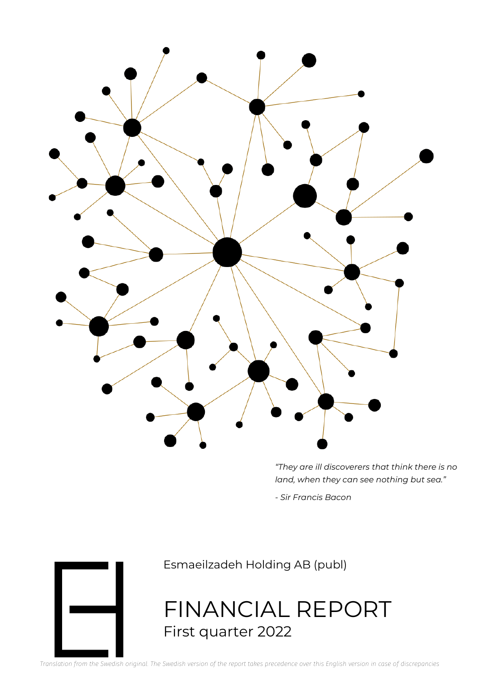

*"They are ill discoverers that think there is no land, when they can see nothing but sea."*

*- Sir Francis Bacon*



Esmaeilzadeh Holding AB (publ)

FINANCIAL REPORT First quarter 2022

*Translation from the Swedish original. The Swedish version of the report takes precedence over this English version in case of discrepancies*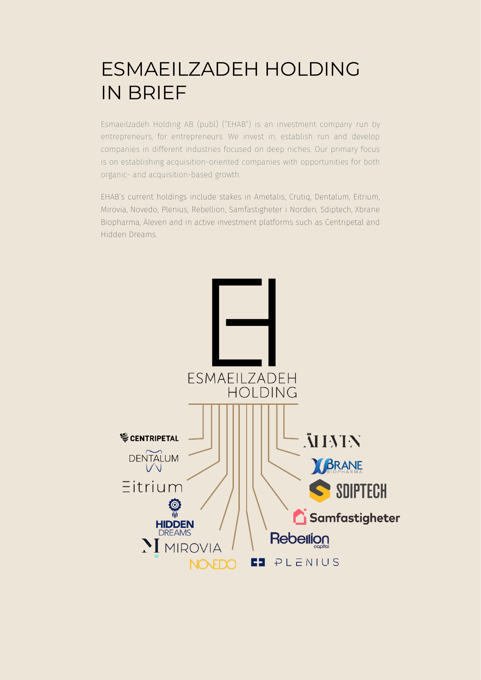### ESMAEILZADEH HOLDING IN BRIEF

Esmaeilzadeh Holding AB (publ) ("EHAB") is an investment company run by entrepreneurs, for entrepreneurs. We invest in, establish run and develop companies in different industries focused on deep niches. Our primary focus is on establishing acquisition-oriented companies with opportunities for both organic- and acquisition-based growth.

EHAB's current holdings include stakes in Ametalis, Crutiq, Dentalum, Eitrium, Mirovia, Novedo, Plenius, Rebellion, Samfastigheter i Norden, Sdiptech, Xbrane Biopharma, Äleven and in active investment platforms such as Centripetal and Hidden Dreams.

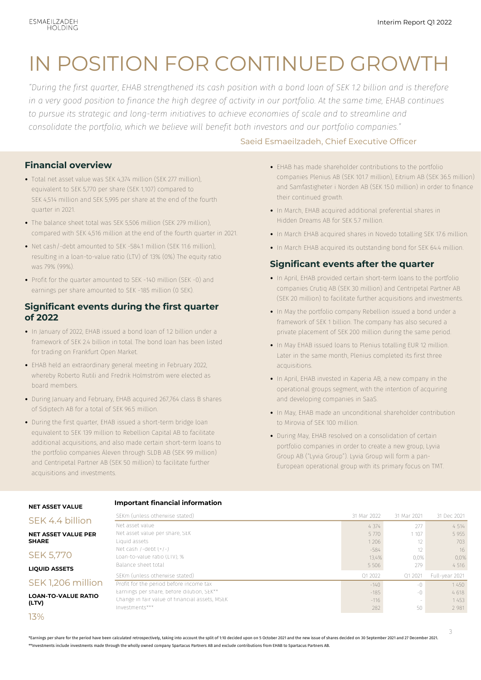### IN POSITION FOR CONTINUED GROWTH

*"During the first quarter, EHAB strengthened its cash position with a bond loan of SEK 1.2 billion and is therefore in a very good position to finance the high degree of activity in our portfolio. At the same time, EHAB continues to pursue its strategic and long-term initiatives to achieve economies of scale and to streamline and consolidate the portfolio, which we believe will benefit both investors and our portfolio companies."*

#### Saeid Esmaeilzadeh, Chief Executive Officer

- **Financial overview**
- Total net asset value was SEK 4,374 million (SEK 277 million), equivalent to SEK 5,770 per share (SEK 1,107) compared to SEK 4,514 million and SEK 5,995 per share at the end of the fourth quarter in 2021.
- The balance sheet total was SEK 5,506 million (SEK 279 million), compared with SEK 4,516 million at the end of the fourth quarter in 2021.
- Net cash/-debt amounted to SEK -584.1 million (SEK 11.6 million), resulting in a loan-to-value ratio (LTV) of 13% (0%) The equity ratio was 79% (99%).
- Profit for the quarter amounted to SEK -140 million (SEK -0) and earnings per share amounted to SEK -185 million (0 SEK).

#### **Significant events during the first quarter of 2022**

- In January of 2022, EHAB issued a bond loan of 1.2 billion under a framework of SEK 2.4 billion in total. The bond loan has been listed for trading on Frankfurt Open Market.
- EHAB held an extraordinary general meeting in February 2022, whereby Roberto Rutili and Fredrik Holmström were elected as board members.
- During January and February, EHAB acquired 267,764 class B shares of Sdiptech AB for a total of SEK 96.5 million.
- During the first quarter, EHAB issued a short-term bridge loan equivalent to SEK 139 million to Rebellion Capital AB to facilitate additional acquisitions, and also made certain short-term loans to the portfolio companies Äleven through SLDB AB (SEK 99 million) and Centripetal Partner AB (SEK 50 million) to facilitate further acquisitions and investments.

- EHAB has made shareholder contributions to the portfolio companies Plenius AB (SEK 101.7 million), Eitrium AB (SEK 36.5 million) and Samfastigheter i Norden AB (SEK 15.0 million) in order to finance their continued growth.
- In March, EHAB acquired additional preferential shares in Hidden Dreams AB for SEK 5.7 million.
- In March EHAB acquired shares in Novedo totalling SEK 17.6 million.
- In March EHAB acquired its outstanding bond for SEK 64.4 million.

#### **Significant events after the quarter**

- In April, EHAB provided certain short-term loans to the portfolio companies Crutiq AB (SEK 30 million) and Centripetal Partner AB (SEK 20 million) to facilitate further acquisitions and investments.
- In May the portfolio company Rebellion issued a bond under a framework of SEK 1 billion. The company has also secured a private placement of SEK 200 million during the same period.
- In May EHAB issued loans to Plenius totalling EUR 12 million. Later in the same month, Plenius completed its first three acquisitions.
- In April, EHAB invested in Kaperia AB, a new company in the operational groups segment, with the intention of acquiring and developing companies in SaaS.
- In May, EHAB made an unconditional shareholder contribution to Mirovia of SEK 100 million.
- During May, EHAB resolved on a consolidation of certain portfolio companies in order to create a new group, Lyvia Group AB ("Lyvia Group"). Lyvia Group will form a pan-European operational group with its primary focus on TMT.

#### **NET ASSET VALUE**

### **Important financial information**

#### SEK 4.4 billion **NET ASSET VALUE P SHARE**

SEK 5,770

**LIQUID ASSETS**

#### SFK 1,206 mil

**LOAN-TO-VALUE RA (LTV)** 

13%

|             | Net asset value                                | 4 3 7 4 | 277            | 4 5 1 4        |
|-------------|------------------------------------------------|---------|----------------|----------------|
| PER         | Net asset value per share, SEK                 | 5 7 7 0 | 1 1 0 7        | 5 9 5 5        |
|             | Liquid assets                                  | 1 2 0 6 | 12             | 703            |
|             | Net cash /-debt $(+/-)$                        | $-584$  | 12             | 16             |
|             | Loan-to-value ratio (LTV), %                   | 13.4%   | 0.0%           | 0.0%           |
|             | Balance sheet total                            | 5 5 0 6 | 279            | 4 5 1 6        |
|             | SEKm (unless otherwise stated)                 | 01 2022 | 01 2021        | Full-year 2021 |
| lion        | Profit for the period before income tax        | $-140$  | $-()$          | 1450           |
| <b>ATIO</b> | Earnings per share, before dilution, SEK**     | $-185$  | $-()$          | 4618           |
|             | Change in fair value of financial assets, MSEK | $-116$  | <b>Section</b> | 1453           |
|             | Investments***                                 | 282     | 50             | 2 9 8 1        |
|             |                                                |         |                |                |

SEKm (unless otherwise stated) 31 Mar 2022 31 Mar 2021 31 Dec 2021

\*Earnings per share for the period have been calculated retrospectively, taking into account the split of 1:10 decided upon on 5 October 2021 and the new issue of shares decided on 30 September 2021 and 27 December 2021. \*\*Investments include investments made through the wholly owned company Spartacus Partners AB and exclude contributions from EHAB to Spartacus Partners AB.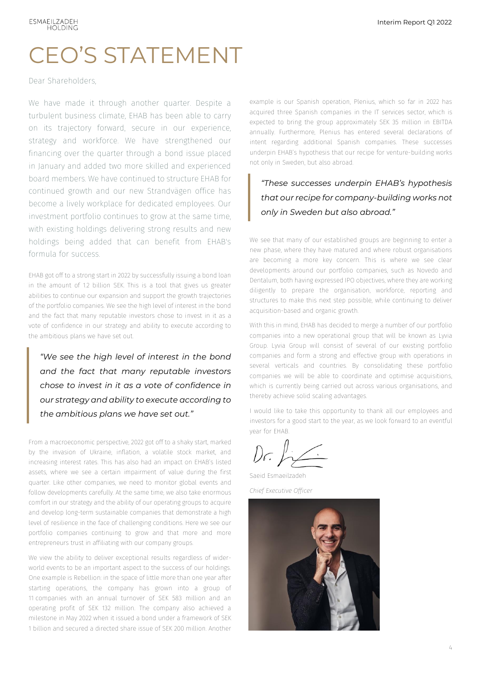### CEO'S STATEMENT

Dear Shareholders,

We have made it through another quarter. Despite a turbulent business climate, EHAB has been able to carry on its trajectory forward, secure in our experience, strategy and workforce. We have strengthened our financing over the quarter through a bond issue placed in January and added two more skilled and experienced board members. We have continued to structure EHAB for continued growth and our new Strandvägen office has become a lively workplace for dedicated employees. Our investment portfolio continues to grow at the same time, with existing holdings delivering strong results and new holdings being added that can benefit from EHAB's formula for success.

EHAB got off to a strong start in 2022 by successfully issuing a bond loan in the amount of 1.2 billion SEK. This is a tool that gives us greater abilities to continue our expansion and support the growth trajectories of the portfolio companies. We see the high level of interest in the bond and the fact that many reputable investors chose to invest in it as a vote of confidence in our strategy and ability to execute according to the ambitious plans we have set out.

*"We see the high level of interest in the bond and the fact that many reputable investors chose to invest in it as a vote of confidence in our strategy and ability to execute according to the ambitious plans we have set out."*

From a macroeconomic perspective, 2022 got off to a shaky start, marked by the invasion of Ukraine, inflation, a volatile stock market, and increasing interest rates. This has also had an impact on EHAB's listed assets, where we see a certain impairment of value during the first quarter. Like other companies, we need to monitor global events and follow developments carefully. At the same time, we also take enormous comfort in our strategy and the ability of our operating groups to acquire and develop long-term sustainable companies that demonstrate a high level of resilience in the face of challenging conditions. Here we see our portfolio companies continuing to grow and that more and more entrepreneurs trust in affiliating with our company groups.

We view the ability to deliver exceptional results regardless of widerworld events to be an important aspect to the success of our holdings. One example is Rebellion: in the space of little more than one year after starting operations, the company has grown into a group of 11 companies with an annual turnover of SEK 583 million and an operating profit of SEK 132 million. The company also achieved a milestone in May 2022 when it issued a bond under a framework of SEK 1 billion and secured a directed share issue of SEK 200 million. Another

example is our Spanish operation, Plenius, which so far in 2022 has acquired three Spanish companies in the IT services sector, which is expected to bring the group approximately SEK 35 million in EBITDA annually. Furthermore, Plenius has entered several declarations of intent regarding additional Spanish companies. These successes underpin EHAB's hypothesis that our recipe for venture-building works not only in Sweden, but also abroad.

### *"These successes underpin EHAB's hypothesis that our recipe for company-building works not only in Sweden but also abroad."*

We see that many of our established groups are beginning to enter a new phase, where they have matured and where robust organisations are becoming a more key concern. This is where we see clear developments around our portfolio companies, such as Novedo and Dentalum, both having expressed IPO objectives, where they are working diligently to prepare the organisation, workforce, reporting and structures to make this next step possible, while continuing to deliver acquisition-based and organic growth.

With this in mind, EHAB has decided to merge a number of our portfolio companies into a new operational group that will be known as Lyvia Group. Lyvia Group will consist of several of our existing portfolio companies and form a strong and effective group with operations in several verticals and countries. By consolidating these portfolio companies we will be able to coordinate and optimise acquisitions, which is currently being carried out across various organisations, and thereby achieve solid scaling advantages.

I would like to take this opportunity to thank all our employees and investors for a good start to the year, as we look forward to an eventful year for EHAB.

 $D$ r.  $L_{\sim}$ 

Saeid Esmaeilzadeh *Chief Executive Officer*

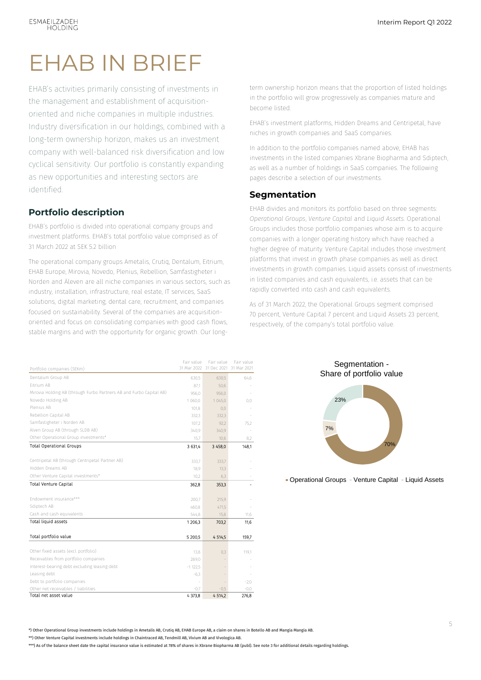### EHAB IN BRIEF

EHAB's activities primarily consisting of investments in the management and establishment of acquisitionoriented and niche companies in multiple industries. Industry diversification in our holdings, combined with a long-term ownership horizon, makes us an investment company with well-balanced risk diversification and low cyclical sensitivity. Our portfolio is constantly expanding as new opportunities and interesting sectors are identified.

#### **Portfolio description**

EHAB's portfolio is divided into operational company groups and investment platforms. EHAB's total portfolio value comprised as of 31 March 2022 at SEK 5.2 billion

The operational company groups Ametalis, Crutiq, Dentalum, Eitrium, EHAB Europe, Mirovia, Novedo, Plenius, Rebellion, Samfastigheter i Norden and Äleven are all niche companies in various sectors, such as industry, installation, infrastructure, real estate, IT services, SaaS solutions, digital marketing, dental care, recruitment, and companies focused on sustainability. Several of the companies are acquisitionoriented and focus on consolidating companies with good cash flows, stable margins and with the opportunity for organic growth. Our longterm ownership horizon means that the proportion of listed holdings in the portfolio will grow progressively as companies mature and become listed.

EHAB's investment platforms, Hidden Dreams and Centripetal, have niches in growth companies and SaaS companies.

In addition to the portfolio companies named above, EHAB has investments in the listed companies Xbrane Biopharma and Sdiptech, as well as a number of holdings in SaaS companies. The following pages describe a selection of our investments.

#### **Segmentation**

EHAB divides and monitors its portfolio based on three segments: *Operational Groups*, *Venture Capital* and *Liquid Assets*. Operational Groups includes those portfolio companies whose aim is to acquire companies with a longer operating history which have reached a higher degree of maturity. Venture Capital includes those investment platforms that invest in growth phase companies as well as direct investments in growth companies. Liquid assets consist of investments in listed companies and cash equivalents, i.e. assets that can be rapidly converted into cash and cash equivalents.

As of 31 March 2022, the Operational Groups segment comprised 70 percent, Venture Capital 7 percent and Liquid Assets 23 percent, respectively, of the company's total portfolio value.

| Portfolio companies (SEKm)                                          | Fair value<br>31 Mar 2022 | Fair value<br>31 Dec 2021 | Fair value<br>31 Mar 2021 |
|---------------------------------------------------------------------|---------------------------|---------------------------|---------------------------|
| Dentalum Group AB                                                   | 630,5                     | 630,5                     | 64,6                      |
| Eitrium AB                                                          | 87.1                      | 50,6                      |                           |
| Mirovia Holding AB (through Furbo Partners AB and Furbo Capital AB) | 956,0                     | 956,0                     |                           |
| Novedo Holding AB                                                   | 1 060.0                   | 1045.0                    | 0.0                       |
| Plenius AB                                                          | 101.8                     | 0.0                       |                           |
| Rebellion Capital AB                                                | 332.3                     | 332.3                     |                           |
| Samfastigheter i Norden AB                                          | 107.2                     | 92.2                      | 75,2                      |
| Älven Group AB (through SLDB AB)                                    | 340.9                     | 340,9                     |                           |
| Other Operational Group investments*                                | 15.7                      | 10.6                      | 8,2                       |
| <b>Total Operational Groups</b>                                     | 3 631.4                   | 3 458.0                   | 148.1                     |
| Centripetal AB (through Centripetal Partner AB)                     | 333,7                     | 333,7                     |                           |
| Hidden Dreams AB                                                    | 18,9                      | 13,3                      |                           |
| Other Venture Capital investments*                                  | 10.2                      | 6,3                       |                           |
| <b>Total Venture Capital</b>                                        | 362.8                     | 353.3                     |                           |
|                                                                     |                           |                           |                           |
| Endowment insurance***                                              | 200.7                     | 215,9                     |                           |
| Sdiptech AB                                                         | 460.8                     | 471.5                     |                           |
| Cash and cash equivalents                                           | 544,8                     | 15,8                      | 11,6                      |
| Total liquid assets                                                 | 1206.3                    | 703,2                     | 11,6                      |
| Total portfolio value                                               | 5 200.5                   | 4514.5                    | 159,7                     |
|                                                                     |                           |                           |                           |
| Other fixed assets (excl. portfolio)                                | 13.8                      | 0,3                       | 119.1                     |
| Receivables from portfolio companies                                | 289,0                     |                           |                           |
| Interest-bearing debt excluding leasing debt                        | $-1$ 122.5                |                           |                           |
| Leasing debt                                                        | $-6,3$                    |                           |                           |
| Debt to portfolio companies                                         |                           |                           | $-2.0$                    |
| Other net receivables / liabilities                                 | $-0.7$                    | $-0,5$                    | $-0.0 -$                  |
| Total net asset value                                               | 4 373,8                   | 4514,2                    | 276,8                     |





• Operational Groups • Venture Capital • Liquid Assets

\*) Other Operational Group investments include holdings in Ametalis AB, Crutiq AB, EHAB Europe AB, a claim on shares in Botello AB and Mangia Mangia AB.

\*\*) Other Venture Capital investments include holdings in Chaintraced AB, Tendmill AB, Vivium AB and Vivologica AB.

\*\*\*) As of the balance sheet date the capital insurance value is estimated at 78% of shares in Xbrane Biopharma AB (publ). See note 3 for additional details regarding holdings.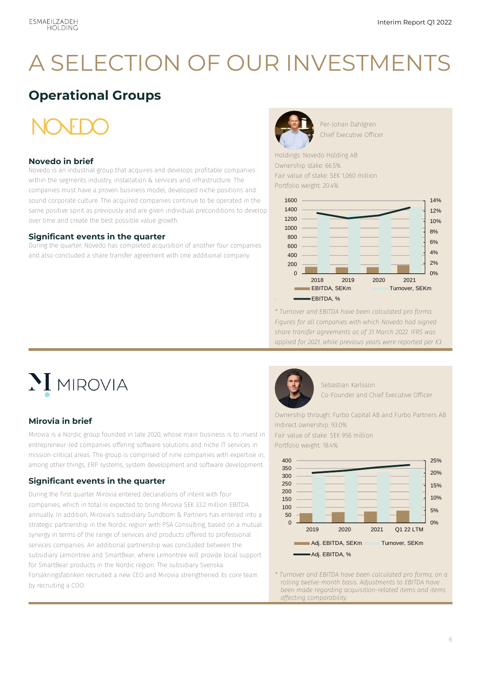### A SELECTION OF OUR INVESTMENTS

### **Operational Groups**

#### **Novedo in brief**

Novedo is an industrial group that acquires and develops profitable companies within the segments industry, installation & services and infrastructure. The companies must have a proven business model, developed niche positions and sound corporate culture. The acquired companies continue to be operated in the same positive spirit as previously and are given individual preconditions to develop over time and create the best possible value growth.

#### **Significant events in the quarter**

During the quarter, Novedo has completed acquisition of another four companies and also concluded a share transfer agreement with one additional company.



Per-Johan Dahlgren Chief Executive Officer

Holdings: Novedo Holding AB Ownership stake: 66.5% Fair value of stake: SEK 1,060 million Portfolio weight: 20.4%



*\* Turnover and EBITDA have been calculated pro forma. Figures for all companies with which Novedo had signed share transfer agreements as of 31 March 2022. IFRS was applied for 2021, while previous years were reported per K3.*

# **MIROVIA**

#### **Mirovia in brief**

Mirovia is a Nordic group founded in late 2020, whose main business is to invest in entrepreneur-led companies offering software solutions and niche IT services in mission-critical areas. The group is comprised of nine companies with expertise in, among other things, ERP systems, system development and software development.

#### **Significant events in the quarter**

During the first quarter Mirovia entered declarations of intent with four companies, which in total is expected to bring Mirovia SEK 33.2 million EBITDA annually. In addition, Mirovia's subsidiary Sundbom & Partners has entered into a strategic partnership in the Nordic region with PSA Consulting, based on a mutual synergy in terms of the range of services and products offered to professional services companies. An additional partnership was concluded between the subsidiary Lemontree and SmartBear, where Lemontree will provide local support for SmartBear products in the Nordic region. The subsidiary Svenska Försäkringsfabriken recruited a new CEO and Mirovia strengthened its core team by recruiting a COO.



Sebastian Karlsson Co-Founder and Chief Executive Officer

Ownership through: Furbo Capital AB and Furbo Partners AB Indirect ownership: 93.0%

Fair value of stake: SEK 956 million Portfolio weight: 18.4%



*\* Turnover and EBITDA have been calculated pro forma, on a rolling twelve-month basis. Adjustments to EBITDA have been made regarding acquisition-related items and items affecting comparability.*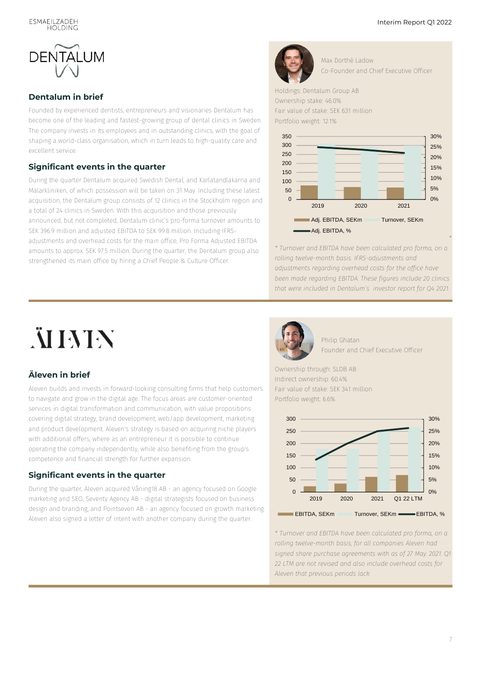

#### **Dentalum in brief**

Founded by experienced dentists, entrepreneurs and visionaries Dentalum has become one of the leading and fastest-growing group of dental clinics in Sweden. The company invests in its employees and in outstanding clinics, with the goal of shaping a world-class organisation, which in turn leads to high-quality care and excellent service.

#### **Significant events in the quarter**

During the quarter Dentalum acquired Swedish Dental, and Karlatandläkarna and Mälarkliniken, of which possession will be taken on 31 May. Including these latest acquisition, the Dentalum group consists of 12 clinics in the Stockholm region and a total of 24 clinics in Sweden. With this acquisition and those previously announced, but not completed, Dentalum clinic's pro-forma turnover amounts to SEK 396.9 million and adjusted EBITDA to SEK 99.8 million. Including IFRSadjustments and overhead costs for the main office, Pro Forma Adjusted EBITDA amounts to approx. SEK 97.5 million. During the quarter, the Dentalum group also strengthened its main office by hiring a Chief People & Culture Officer.



Max Dorthé Ladow Co-Founder and Chief Executive Officer

Holdings: Dentalum Group AB Ownership stake: 46.0% Fair value of stake: SEK 631 million

Portfolio weight: 12.1%



*\* Turnover and EBITDA have been calculated pro forma, on a rolling twelve-month basis. IFRS-adjustments and adjustments regarding overhead costs for the office have been made regarding EBITDA. These figures include 20 clinics that were included in Dentalum's [investor report f](https://www.dentalum.com/17/30/investor-reports/)or Q4 2021.*

# **NIMIN**

#### **Äleven in brief**

Äleven builds and invests in forward-looking consulting firms that help customers to navigate and grow in the digital age. The focus areas are customer-oriented services in digital transformation and communication, with value propositions covering digital strategy, brand development, web/app development, marketing and product development. Äleven's strategy is based on acquiring niche players with additional offers, where as an entrepreneur it is possible to continue operating the company independently, while also benefiting from the group's competence and financial strength for further expansion.

#### **Significant events in the quarter**

During the quarter, Äleven acquired Våning18 AB - an agency focused on Google marketing and SEO, Seventy Agency AB - digital strategists focused on business design and branding, and Pointseven AB - an agency focused on growth marketing. Äleven also signed a letter of intent with another company during the quarter.



Philip Ghatan Founder and Chief Executive Officer

Ownership through: SLDB AB Indirect ownership: 60.4% Fair value of stake: SEK 341 million Portfolio weight: 6.6%



*\* Turnover and EBITDA have been calculated pro forma, on a rolling twelve-month basis, for all companies Äleven had signed share purchase agreements with as of 27 May. 2021. Q1 22 LTM are not revised and also include overhead costs for Äleven that previous periods lack.*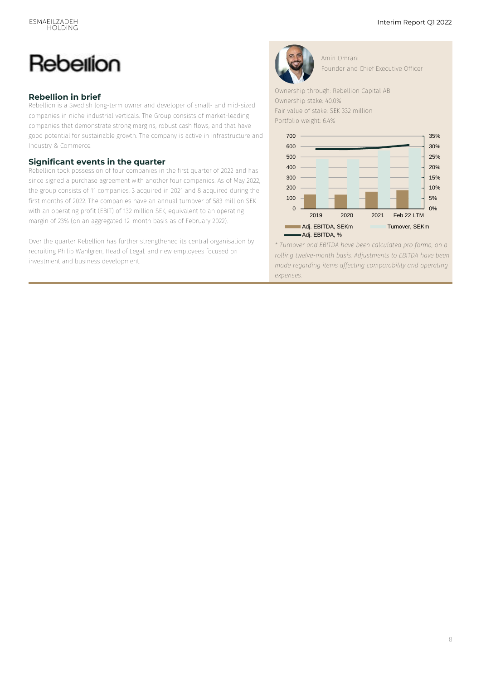### Rebellion

#### **Rebellion in brief**

Rebellion is a Swedish long-term owner and developer of small- and mid-sized companies in niche industrial verticals. The Group consists of market-leading companies that demonstrate strong margins, robust cash flows, and that have good potential for sustainable growth. The company is active in Infrastructure and Industry & Commerce.

#### **Significant events in the quarter**

Rebellion took possession of four companies in the first quarter of 2022 and has since signed a purchase agreement with another four companies. As of May 2022, the group consists of 11 companies, 3 acquired in 2021 and 8 acquired during the first months of 2022. The companies have an annual turnover of 583 million SEK with an operating profit (EBIT) of 132 million SEK, equivalent to an operating margin of 23% (on an aggregated 12-month basis as of February 2022).

Over the quarter Rebellion has further strengthened its central organisation by recruiting Philip Wahlgren, Head of Legal, and new employees focused on investment and business development.



Amin Omrani Founder and Chief Executive Officer

Ownership through: Rebellion Capital AB Ownership stake: 40.0%

Fair value of stake: SEK 332 million

Portfolio weight: 6.4%



*\* Turnover and EBITDA have been calculated pro forma, on a rolling twelve-month basis. Adjustments to EBITDA have been made regarding items affecting comparability and operating expenses.*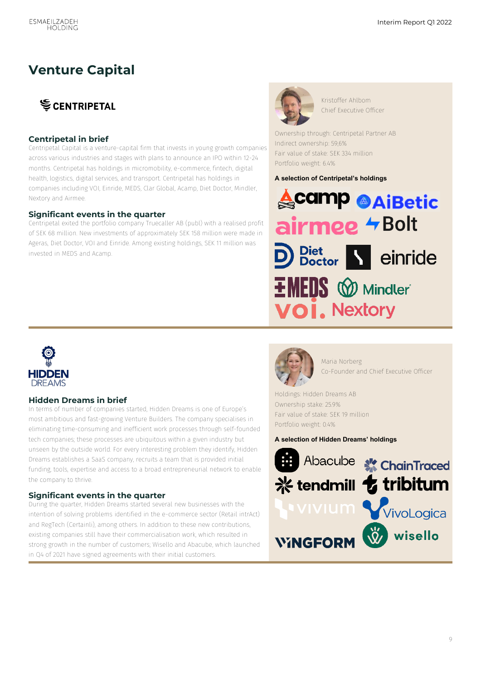### **Venture Capital**

### **SCENTRIPETAL**

#### **Centripetal in brief**

Centripetal Capital is a venture-capital firm that invests in young growth companies across various industries and stages with plans to announce an IPO within 12-24 months. Centripetal has holdings in micromobility, e-commerce, fintech, digital health, logistics, digital services, and transport. Centripetal has holdings in companies including VOI, Einride, MEDS, Clar Global, Acamp, Diet Doctor, Mindler, Nextory and Airmee.

#### **Significant events in the quarter**

Centripetal exited the portfolio company Truecaller AB (publ) with a realised profit of SEK 68 million. New investments of approximately SEK 158 million were made in Ageras, Diet Doctor, VOI and Einride. Among existing holdings, SEK 11 million was invested in MEDS and Acamp.



Kristoffer Ahlbom Chief Executive Officer

Ownership through: Centripetal Partner AB Indirect ownership: 59,6% Fair value of stake: SEK 334 million Portfolio weight: 6.4%

#### **A selection of Centripetal's holdings**





#### **Hidden Dreams in brief**

In terms of number of companies started, Hidden Dreams is one of Europe's most ambitious and fast-growing Venture Builders. The company specialises in eliminating time-consuming and inefficient work processes through self-founded tech companies; these processes are ubiquitous within a given industry but unseen by the outside world. For every interesting problem they identify, Hidden Dreams establishes a SaaS company, recruits a team that is provided initial funding, tools, expertise and access to a broad entrepreneurial network to enable the company to thrive.

#### **Significant events in the quarter**

During the quarter, Hidden Dreams started several new businesses with the intention of solving problems identified in the e-commerce sector (Retail intrAct) and RegTech (Certainli), among others. In addition to these new contributions, existing companies still have their commercialisation work, which resulted in strong growth in the number of customers; Wisello and Abacube, which launched in Q4 of 2021 have signed agreements with their initial customers.



Maria Norberg Co-Founder and Chief Executive Officer

Holdings: Hidden Dreams AB Ownership stake: 25.9% Fair value of stake: SEK 19 million Portfolio weight: 0.4%

**A selection of Hidden Dreams' holdings**

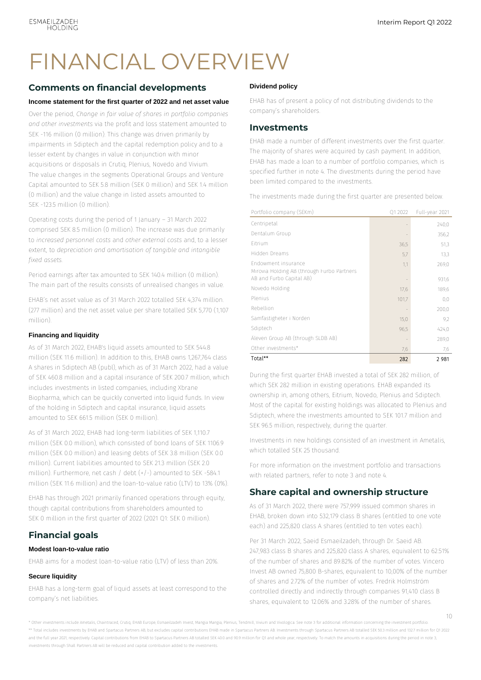### FINANCIAL OVERVIEW

#### **Comments on financial developments**

#### **Income statement for the first quarter of 2022 and net asset value**

Over the period, *Change in fair value of shares in portfolio companies and other investments* via the profit and loss statement amounted to SEK -116 million (0 million). This change was driven primarily by impairments in Sdiptech and the capital redemption policy and to a lesser extent by changes in value in conjunction with minor acquisitions or disposals in Crutiq, Plenius, Novedo and Vivium. The value changes in the segments Operational Groups and Venture Capital amounted to SEK 5.8 million (SEK 0 million) and SEK 1.4 million (0 million) and the value change in listed assets amounted to SEK -123.5 million (0 million).

Operating costs during the period of 1 January – 31 March 2022 comprised SEK 8.5 million (0 million). The increase was due primarily to *increased personnel costs* and *other external costs* and, to a lesser extent, to *depreciation and amortisation of tangible and intangible fixed assets.*

Period earnings after tax amounted to SEK 140.4 million (0 million). The main part of the results consists of unrealised changes in value.

EHAB's net asset value as of 31 March 2022 totalled SEK 4,374 million. (277 million) and the net asset value per share totalled SEK 5,770 (1,107 million).

#### **Financing and liquidity**

As of 31 March 2022, EHAB's liquid assets amounted to SEK 544.8 million (SEK 11.6 million). In addition to this, EHAB owns 1,267,764 class A shares in Sdiptech AB (publ), which as of 31 March 2022, had a value of SEK 460.8 million and a capital insurance of SEK 200.7 million, which includes investments in listed companies, including Xbrane Biopharma, which can be quickly converted into liquid funds. In view of the holding in Sdiptech and capital insurance, liquid assets amounted to SEK 6615 million (SEK 0 million).

As of 31 March 2022, EHAB had long-term liabilities of SEK 1,110.7 million (SEK 0.0 million), which consisted of bond loans of SEK 1106.9 million (SEK 0.0 million) and leasing debts of SEK 3.8 million (SEK 0.0 million). Current liabilities amounted to SEK 21.3 million (SEK 2.0 million). Furthermore, net cash / debt (+/-) amounted to SEK -584.1 million (SEK 11.6 million) and the loan-to-value ratio (LTV) to 13% (0%).

EHAB has through 2021 primarily financed operations through equity, though capital contributions from shareholders amounted to SEK 0 million in the first quarter of 2022 (2021 Q1: SEK 0 million).

#### **Financial goals**

#### **Modest loan-to-value ratio**

EHAB aims for a modest loan-to-value ratio (LTV) of less than 20%.

#### **Secure liquidity**

EHAB has a long-term goal of liquid assets at least correspond to the company's net liabilities.

#### **Dividend policy**

EHAB has of present a policy of not distributing dividends to the company's shareholders.

#### **Investments**

EHAB made a number of different investments over the first quarter. The majority of shares were acquired by cash payment. In addition, EHAB has made a loan to a number of portfolio companies, which is specified further in note 4. The divestments during the period have been limited compared to the investments.

The investments made during the first quarter are presented below.

| Portfolio company (SEKm)                                          | Q1 2022 | Full-year 2021 |
|-------------------------------------------------------------------|---------|----------------|
| Centripetal                                                       |         | 240,0          |
| Dentalum Group                                                    |         | 356,2          |
| Eitrium                                                           | 36,5    | 51,3           |
| Hidden Dreams                                                     | 5,7     | 13,3           |
| Endowment insurance<br>Mirovia Holding AB (through Furbo Partners | 1,1     | 269,0          |
| AB and Furbo Capital AB)                                          |         | 931,6          |
| Novedo Holding                                                    | 17,6    | 189,6          |
| Plenius                                                           | 101,7   | 0,0            |
| Rebellion                                                         |         | 200,0          |
| Samfastigheter i Norden                                           | 15,0    | 9,2            |
| Sdiptech                                                          | 96,5    | 424,0          |
| Äleven Group AB (through SLDB AB)                                 |         | 289,0          |
| Other investments*                                                | 7,6     | 7,6            |
| Total**                                                           | 282     | 2981           |

During the first quarter EHAB invested a total of SEK 282 million, of which SEK 282 million in existing operations. EHAB expanded its ownership in, among others, Eitrium, Novedo, Plenius and Sdiptech. Most of the capital for existing holdings was allocated to Plenius and Sdiptech, where the investments amounted to SEK 101.7 million and SEK 96.5 million, respectively, during the quarter.

Investments in new holdings consisted of an investment in Ametalis, which totalled SEK 25 thousand.

For more information on the investment portfolio and transactions with related partners, refer to note 3 and note 4.

#### **Share capital and ownership structure**

As of 31 March 2022, there were 757,999 issued common shares in EHAB, broken down into 532,179 class B shares (entitled to one vote each) and 225,820 class A shares (entitled to ten votes each).

Per 31 March 2022, Saeid Esmaeilzadeh, through Dr. Saeid AB. 247,983 class B shares and 225,820 class A shares, equivalent to 62.51% of the number of shares and 89.82% of the number of votes. Vincero Invest AB owned 75,800 B-shares, equivalent to 10,00% of the number of shares and 2.72% of the number of votes. Fredrik Holmström controlled directly and indirectly through companies 91,410 class B shares, equivalent to 12.06% and 3.28% of the number of shares.

\* Other investments include Ametalis, Chaintraced, Crutiq, EHAB Europe, Esmaeilzadeh Invest, Mangia Mangia, Plenius, Tendmill, Vivium and Vivologica. See note 3 for additional information concerning the investment portfolio. \*\* Total includes investments by EHAB and Spartacus Partners AB, but excludes capital contributions EHAB made in Spartacus Partners AB. Investments through Spartacus Partners AB totalled SEK 50.3 million and 132.7 million and the full year 2021, respectively. Capital contributions from EHAB to Spartacus Partners AB totalled SEK 40.0 and 90.9 million for O1 and whole year, respectively. To match the amounts in acquisitions during the period investments through Shall Partners AB will be reduced and capital contribution added to the investments.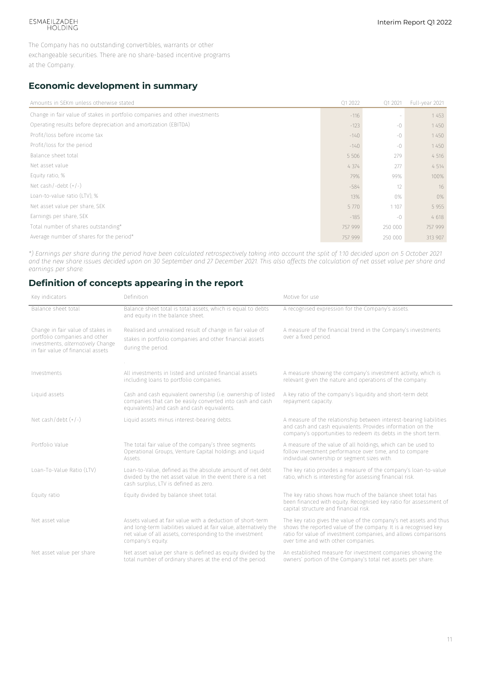### ESMAEILZADEH<br>HOLDING

The Company has no outstanding convertibles, warrants or other exchangeable securities. There are no share-based incentive programs at the Company.

#### **Economic development in summary**

| Amounts in SEKm unless otherwise stated                                     | Q1 2022 | Q1 2021 | Full-year 2021 |
|-----------------------------------------------------------------------------|---------|---------|----------------|
| Change in fair value of stakes in portfolio companies and other investments | $-116$  |         | 1453           |
| Operating results before depreciation and amortization (EBITDA)             | $-123$  | $-0$    | 1450           |
| Profit/loss before income tax                                               | $-140$  | $-0$    | 1450           |
| Profit/loss for the period                                                  | $-140$  | $-0$    | 1450           |
| Balance sheet total                                                         | 5 5 0 6 | 279     | 4 5 1 6        |
| Net asset value                                                             | 4 3 7 4 | 277     | 4 5 1 4        |
| Equity ratio, %                                                             | 79%     | 99%     | 100%           |
| Net cash/-debt $(+/-)$                                                      | $-584$  | 12      | 16             |
| Loan-to-value ratio (LTV), %                                                | 13%     | 0%      | $0\%$          |
| Net asset value per share, SEK                                              | 5 7 7 0 | 1 107   | 5 9 5 5        |
| Earnings per share, SEK                                                     | $-185$  | $-()$   | 4618           |
| Total number of shares outstanding*                                         | 757 999 | 250 000 | 757 999        |
| Average number of shares for the period*                                    | 757 999 | 250 000 | 313 907        |

*\*) Earnings per share during the period have been calculated retrospectively taking into account the split of 1:10 decided upon on 5 October 2021 and the new share issues decided upon on 30 September and 27 December 2021. This also affects the calculation of net asset value per share and earnings per share.*

#### **Definition of concepts appearing in the report**

| Key indicators                                                                                                                               | Definition                                                                                                                                                                                                       | Motive for use                                                                                                                                                                                                                                  |
|----------------------------------------------------------------------------------------------------------------------------------------------|------------------------------------------------------------------------------------------------------------------------------------------------------------------------------------------------------------------|-------------------------------------------------------------------------------------------------------------------------------------------------------------------------------------------------------------------------------------------------|
| Balance sheet total                                                                                                                          | Balance sheet total is total assets, which is equal to debts<br>and equity in the balance sheet.                                                                                                                 | A recognised expression for the Company's assets.                                                                                                                                                                                               |
| Change in fair value of stakes in<br>portfolio companies and other<br>investments, alternatively Change<br>in fair value of financial assets | Realised and unrealised result of change in fair value of<br>stakes in portfolio companies and other financial assets<br>during the period.                                                                      | A measure of the financial trend in the Company's investments<br>over a fixed period.                                                                                                                                                           |
|                                                                                                                                              |                                                                                                                                                                                                                  |                                                                                                                                                                                                                                                 |
| Investments                                                                                                                                  | All investments in listed and unlisted financial assets<br>including loans to portfolio companies.                                                                                                               | A measure showing the company's investment activity, which is<br>relevant given the nature and operations of the company.                                                                                                                       |
| Liquid assets                                                                                                                                | Cash and cash equivalent ownership (i.e. ownership of listed<br>companies that can be easily converted into cash and cash<br>equivalents) and cash and cash equivalents.                                         | A key ratio of the company's liquidity and short-term debt<br>repayment capacity.                                                                                                                                                               |
| Net cash/debt $(+/-)$                                                                                                                        | Liquid assets minus interest-bearing debts.                                                                                                                                                                      | A measure of the relationship between interest-bearing liabilities<br>and cash and cash equivalents. Provides information on the<br>company's opportunities to redeem its debts in the short term.                                              |
| Portfolio Value                                                                                                                              | The total fair value of the company's three segments<br>Operational Groups, Venture Capital holdings and Liquid<br>Assets.                                                                                       | A measure of the value of all holdings, which can be used to<br>follow investment performance over time, and to compare<br>individual ownership or segment sizes with.                                                                          |
| Loan-To-Value Ratio (LTV)                                                                                                                    | Loan-to-Value, defined as the absolute amount of net debt<br>divided by the net asset value. In the event there is a net<br>cash surplus. LTV is defined as zero.                                                | The key ratio provides a measure of the company's loan-to-value<br>ratio, which is interesting for assessing financial risk.                                                                                                                    |
| Equity ratio                                                                                                                                 | Equity divided by balance sheet total.                                                                                                                                                                           | The key ratio shows how much of the balance sheet total has<br>been financed with equity. Recognised key ratio for assessment of<br>capital structure and financial risk.                                                                       |
| Net asset value                                                                                                                              | Assets valued at fair value with a deduction of short-term<br>and long-term liabilities valued at fair value, alternatively the<br>net value of all assets, corresponding to the investment<br>company's equity. | The key ratio gives the value of the company's net assets and thus<br>shows the reported value of the company. It is a recognised key<br>ratio for value of investment companies, and allows comparisons<br>over time and with other companies. |
| Net asset value per share                                                                                                                    | Net asset value per share is defined as equity divided by the<br>total number of ordinary shares at the end of the period.                                                                                       | An established measure for investment companies showing the<br>owners' portion of the Company's total net assets per share.                                                                                                                     |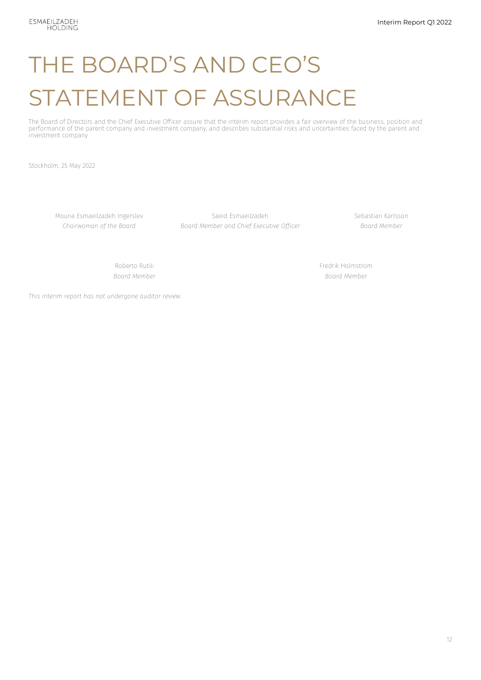# THE BOARD'S AND CEO'S STATEMENT OF ASSURANCE

The Board of Directors and the Chief Executive Officer assure that the interim report provides a fair overview of the business, position and performance of the parent company and investment company, and describes substantial risks and uncertainties faced by the parent and investment company.

Stockholm, 25 May 2022

Mouna Esmaeilzadeh Ingerslev Saeid Esmaeilzadeh Sebastian Karlsson *Chairwoman of the Board Board Member and Chief Executive Officer Board Member*

Roberto Rutili Fredrik Holmström *Board Member Board Member*

*This interim report has not undergone auditor review.*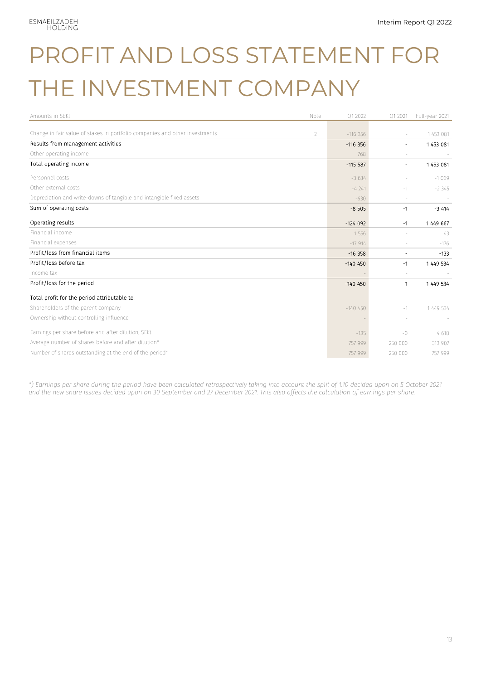# PROFIT AND LOSS STATEMENT FOR THE INVESTMENT COMPANY

| Amounts in SEKt                                                             | Note           | Q1 2022    | Q1 2021                  | Full-year 2021 |
|-----------------------------------------------------------------------------|----------------|------------|--------------------------|----------------|
| Change in fair value of stakes in portfolio companies and other investments | $\overline{2}$ | $-116356$  |                          | 1 453 081      |
| Results from management activities                                          |                | $-116.356$ | $\overline{\phantom{0}}$ | 1453 081       |
| Other operating income                                                      |                | 768        |                          |                |
| Total operating income                                                      |                | $-1155587$ | $\overline{a}$           | 1453 081       |
| Personnel costs                                                             |                | $-3634$    |                          | $-1069$        |
| Other external costs                                                        |                | $-4241$    | $-1$                     | $-2345$        |
| Depreciation and write-downs of tangible and intangible fixed assets        |                | $-630$     |                          |                |
| Sum of operating costs                                                      |                | $-8505$    | $-1$                     | $-3414$        |
| Operating results                                                           |                | $-124092$  | $-1$                     | 1 449 667      |
| Financial income                                                            |                | 1556       |                          | 43             |
| Financial expenses                                                          |                | $-17914$   |                          | $-176$         |
| Profit/loss from financial items                                            |                | $-16358$   | $\overline{\phantom{0}}$ | $-133$         |
| Profit/loss before tax                                                      |                | $-140450$  | $-1$                     | 1 449 534      |
| Income tax                                                                  |                |            |                          |                |
| Profit/loss for the period                                                  |                | $-140450$  | $-1$                     | 1 449 534      |
| Total profit for the period attributable to:                                |                |            |                          |                |
| Shareholders of the parent company                                          |                | $-140450$  | $-1$                     | 1 449 534      |
| Ownership without controlling influence                                     |                |            |                          |                |
| Earnings per share before and after dilution, SEKt                          |                | $-185$     | $-0$                     | 4618           |
| Average number of shares before and after dilution*                         |                | 757 999    | 250 000                  | 313 907        |
| Number of shares outstanding at the end of the period*                      |                | 757 999    | 250 000                  | 757 999        |

*\*) Earnings per share during the period have been calculated retrospectively taking into account the split of 1:10 decided upon on 5 October 2021 and the new share issues decided upon on 30 September and 27 December 2021. This also affects the calculation of earnings per share.*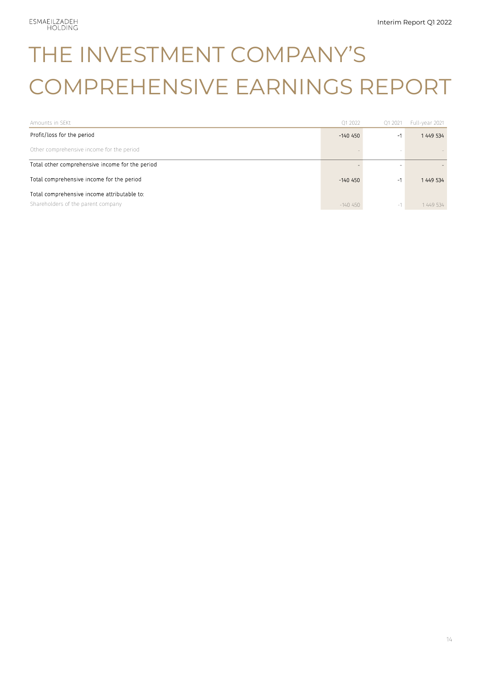## THE INVESTMENT COMPANY'S COMPREHENSIVE EARNINGS REPORT

| Amounts in SEKt                                 | Q1 2022    | Q1 2021 | Full-year 2021 |
|-------------------------------------------------|------------|---------|----------------|
| Profit/loss for the period                      | $-140$ 450 | -1      | 1 449 534      |
| Other comprehensive income for the period       |            |         |                |
| Total other comprehensive income for the period |            |         |                |
| Total comprehensive income for the period       | $-140$ 450 | -1      | 1449 534       |
| Total comprehensive income attributable to:     |            |         |                |
| Shareholders of the parent company              | $-140450$  | $-1$    | 1449 534       |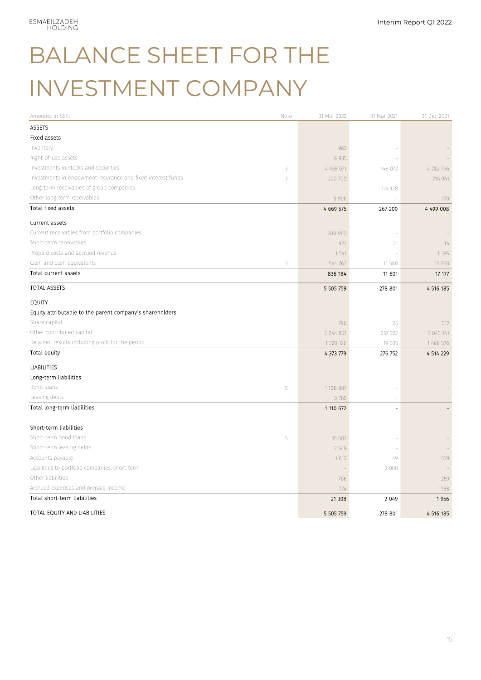# BALANCE SHEET FOR THE INVESTMENT COMPANY

| Amounts in SEKt<br>Note                                          | 31 Mar 2022 | 31 Mar 2021 | 31 Dec 2021 |
|------------------------------------------------------------------|-------------|-------------|-------------|
| <b>ASSETS</b>                                                    |             |             |             |
| Fixed assets                                                     |             |             |             |
| Inventory                                                        | 962         |             |             |
| Right-of-use assets                                              | 6 9 3 5     |             |             |
| Investments in stocks and securities<br>3                        | 4 455 071   | 148 072     | 4 282 796   |
| Investments in endowment insurance and fixed interest funds<br>3 | 200 700     |             | 215 941     |
| Long-term receivables of group companies                         |             | 119 128     |             |
| Other long-term receivables                                      | 5 9 0 6     |             | 270         |
| Total fixed assets                                               | 4 6 6 57 5  | 267 200     | 4 499 008   |
| Current assets                                                   |             |             |             |
| Current receivables from portfolio companies                     | 288 960     |             |             |
| Short-term receivables                                           | 922         | 21          | 14          |
| Prepaid costs and accrued revenue                                | 1541        |             | 1 3 9 5     |
| Cash and cash equivalents<br>3                                   | 544 762     | 11 580      | 15 768      |
| Total current assets                                             | 836 184     | 11 601      | 17 177      |
| <b>TOTAL ASSETS</b>                                              | 5 505 759   | 278 801     | 4 516 185   |
| <b>EQUITY</b>                                                    |             |             |             |
| Equity attributable to the parent company's shareholders         |             |             |             |
| Share capital                                                    | 796         | 25          | 512         |
| Other contributed capital                                        | 3 044 857   | 257 222     | 3 045 141   |
| Retained results including profit for the period                 | 1 328 126   | 19 505      | 1 468 576   |
| Total equity                                                     | 4 373 779   | 276 752     | 4 514 229   |
| LIABILITIES                                                      |             |             |             |
| Long-term liabilities                                            |             |             |             |
| Bond loans<br>5                                                  | 1 106 887   |             |             |
| Leasing debts                                                    | 3785        |             |             |
| Total long-term liabilities                                      | 1 110 672   |             |             |
| Short-term liabilities                                           |             |             |             |
| Short-term bond loans                                            |             |             |             |
| 5<br>Short-term leasing debts                                    | 15 607      |             |             |
| Accounts payable                                                 | 2 5 4 9     | 49          | 539         |
| Liabilities to portfolio companies, short-term                   | 1612        |             |             |
| Other liabilities                                                | 766         | 2 0 0 0     | 259         |
| Accrued expenses and prepaid income                              | 774         |             | 1 1 5 8     |
| Total short-term liabilities                                     | 21 308      | 2 0 4 9     | 1956        |
| TOTAL EQUITY AND LIABILITIES                                     | 5 505 759   | 278 801     | 4 516 185   |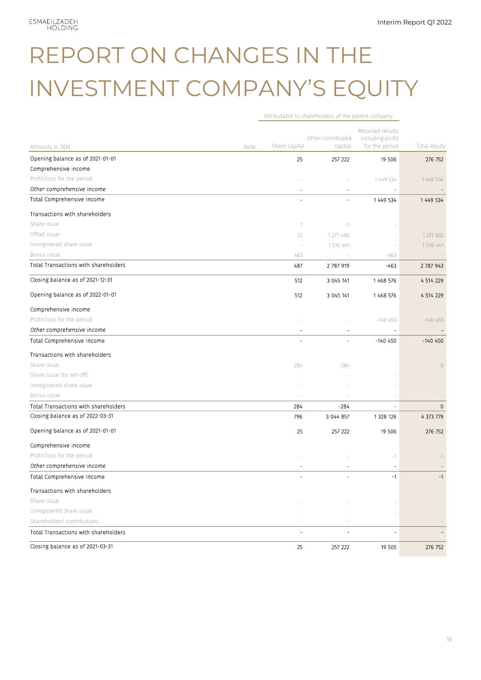# REPORT ON CHANGES IN THE INVESTMENT COMPANY'S EQUITY

Attributable to shareholders of the parent company

|                                      |      |               |                              | Retained results                   |              |
|--------------------------------------|------|---------------|------------------------------|------------------------------------|--------------|
| Amounts in SEKt                      | Note | Share capital | Other contributed<br>capital | including profit<br>for the period | Total equity |
| Opening balance as of 2021-01-01     |      | 25            | 257 222                      | 19 506                             | 276 752      |
| Comprehensive income                 |      |               |                              |                                    |              |
| Profit/loss for the period           |      |               |                              | 1 449 534                          | 1 449 534    |
| Other comprehensive income           |      |               | $\overline{\phantom{a}}$     |                                    |              |
| Total Comprehensive Income           |      |               |                              | 1 449 534                          | 1 449 534    |
|                                      |      |               |                              |                                    |              |
| Transactions with shareholders       |      |               |                              |                                    |              |
| Share issue                          |      | $\mathbf 1$   | $-1$                         |                                    |              |
| Offset issue                         |      | 23            | 1 271 480                    |                                    | 1 271 502    |
| Unregistered share issue             |      |               | 1 516 441                    |                                    | 1 516 441    |
| Bonus issue                          |      | 463           |                              | $-463$                             |              |
| Total Transactions with shareholders |      | 487           | 2 787 919                    | $-463$                             | 2 787 943    |
| Closing balance as of 2021-12-31     |      | 512           | 3 045 141                    | 1468 576                           | 4 514 229    |
| Opening balance as of 2022-01-01     |      | 512           | 3 045 141                    | 1468 576                           | 4 514 229    |
| Comprehensive income                 |      |               |                              |                                    |              |
| Profit/loss for the period           |      |               |                              | $-140450$                          | $-140450$    |
| Other comprehensive income           |      |               | $\overline{a}$               |                                    |              |
| Total Comprehensive Income           |      |               |                              | -140 450                           | $-140450$    |
| Transactions with shareholders       |      |               |                              |                                    |              |
| Share issue                          |      | 284           | $-284$                       |                                    | $\circ$      |
| Share issue (by set-off)             |      |               |                              |                                    |              |
| Unregistered share issue             |      |               |                              |                                    |              |
| Bonus issue                          |      |               |                              |                                    |              |
| Total Transactions with shareholders |      | 284           | -284                         |                                    | $\mathbf 0$  |
| Closing balance as of 2022-03-31     |      | 796           | 3 044 857                    | 1 328 126                          | 4 373 779    |
| Opening balance as of 2021-01-01     |      | 25            | 257 222                      | 19 506                             | 276 752      |
| Comprehensive income                 |      |               |                              |                                    |              |
| Profit/loss for the period           |      |               |                              | $-1$                               | $-1$         |
| Other comprehensive income           |      |               |                              |                                    |              |
| Total Comprehensive Income           |      |               |                              | $-1$                               | $-1$         |
| Transactions with shareholders       |      |               |                              |                                    |              |
| Share issue                          |      |               |                              |                                    |              |
| Unregistered share issue             |      |               |                              |                                    |              |
| Shareholders' contributions          |      |               |                              |                                    |              |
| Total Transactions with shareholders |      | ٠             |                              |                                    |              |
| Closing balance as of 2021-03-31     |      | 25            | 257 222                      | 19 505                             | 276 752      |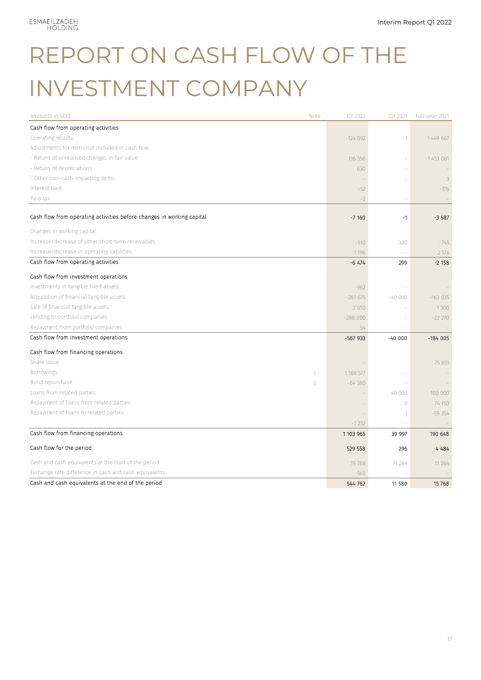## REPORT ON CASH FLOW OF THE INVESTMENT COMPANY

| Amounts in SEKt                                                       | Note | Q1 2022   | Q1 2021                  | Full-year 2021 |
|-----------------------------------------------------------------------|------|-----------|--------------------------|----------------|
| Cash flow from operating activities                                   |      |           |                          |                |
| Operating results                                                     |      | $-124092$ | $-1$                     | 1 449 667      |
| Adjustments for items not included in cash flow                       |      |           |                          |                |
| - Return of unrealised changes in fair value                          |      | 116 356   | i,                       | $-1453081$     |
| - Return of depreciations                                             |      | 630       |                          |                |
| - Other non-cash-impacting items                                      |      |           |                          | 3              |
| Interest paid                                                         |      | $-52$     |                          | $-176$         |
| Paid tax                                                              |      | $-2$      |                          |                |
| Cash flow from operating activities before changes in working capital |      | $-7160$   | $-1$                     | $-3587$        |
| Changes in working capital                                            |      |           |                          |                |
| Increase/decrease of other short-term receivables                     |      | $-510$    | 300                      | $-745$         |
| Increase/decrease in operating liabilities                            |      | 1 1 9 6   |                          | 2 174          |
| Cash flow from operating activities                                   |      | $-6474$   | 299                      | $-2158$        |
| Cash flow from investment operations                                  |      |           |                          |                |
| Investments in tangible fixed assets                                  |      | $-962$    |                          |                |
| Acquisition of financial tangible assets                              |      | $-281675$ | $-40000$                 | $-163035$      |
| Sale of financial tangible assets                                     |      | 2 6 5 0   |                          | 1 3 0 0        |
| Lending to portfolio companies                                        |      | $-288000$ |                          | $-22220$       |
| Repayment from portfolio companies                                    |      | 54        |                          |                |
| Cash flow from investment operations                                  |      | $-567933$ | $-4000$                  | $-184005$      |
| Cash flow from financing operations                                   |      |           |                          |                |
| Share issue                                                           |      |           |                          | 75 851         |
| Borrowings                                                            | 5    | 1 169 577 |                          |                |
| Bond repurchase                                                       | 5    | $-64380$  | $\overline{\phantom{a}}$ |                |
| Loans from related parties                                            |      |           | 40 000                   | 100 000        |
| Repayment of loans from related parties                               |      |           | $\circ$                  | 74 150         |
| Repayment of loans to related parties                                 |      |           | -3                       | $-59354$       |
|                                                                       |      | $-1232$   |                          |                |
| Cash flow from financing operations                                   |      | 1 103 965 | 39 997                   | 190 648        |
| Cash flow for the period                                              |      | 529 558   | 296                      | 4 4 8 4        |
| Cash and cash equivalents at the start of the period                  |      | 15 768    | 11 284                   | 11 284         |
| Exchange rate difference in cash and cash equivalents                 |      | $-565$    |                          |                |
| Cash and cash equivalents at the end of the period                    |      | 544 762   | 11 580                   | 15 768         |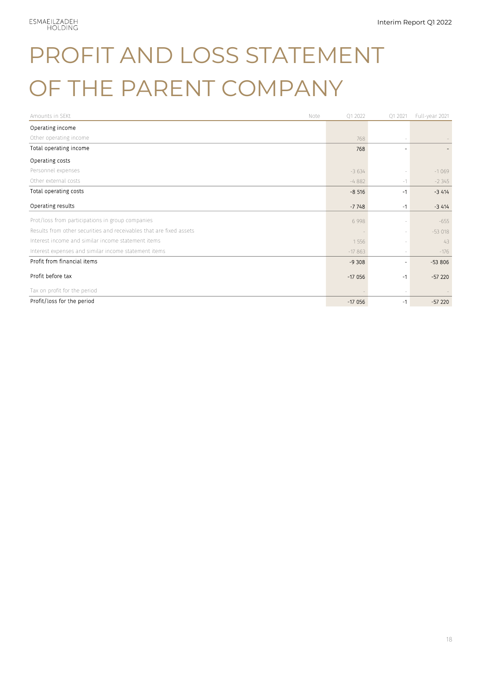# PROFIT AND LOSS STATEMENT OF THE PARENT COMPANY

| Amounts in SEKt<br>Note                                             | 01 2022  | Q1 2021        | Full-year 2021 |
|---------------------------------------------------------------------|----------|----------------|----------------|
| Operating income                                                    |          |                |                |
| Other operating income                                              | 768      |                |                |
| Total operating income                                              | 768      |                |                |
| Operating costs                                                     |          |                |                |
| Personnel expenses                                                  | $-3634$  |                | $-1069$        |
| Other external costs                                                | $-4882$  | $-1$           | $-2345$        |
| Total operating costs                                               | $-8,516$ | -1             | $-3414$        |
| Operating results                                                   | $-7748$  | -1             | $-3414$        |
| Prot/loss from participations in group companies                    | 6 9 9 8  |                | $-655$         |
| Results from other securities and receivables that are fixed assets |          | $\sim$         | $-53018$       |
| Interest income and similar income statement items                  | 1 5 5 6  |                | 43             |
| Interest expenses and similar income statement items                | $-17863$ | $\overline{a}$ | $-176$         |
| Profit from financial items                                         | $-9308$  | ٠              | $-53806$       |
| Profit before tax                                                   | $-17056$ | -1             | $-57220$       |
| Tax on profit for the period                                        |          |                |                |
| Profit/loss for the period                                          | $-17056$ | -1             | $-57220$       |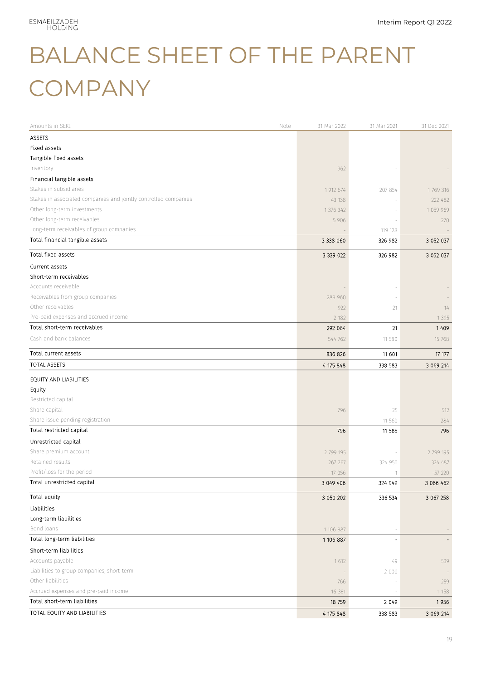# BALANCE SHEET OF THE PARENT **COMPANY**

| Amounts in SEKt<br>Note                                         | 31 Mar 2022 | 31 Mar 2021 | 31 Dec 2021 |
|-----------------------------------------------------------------|-------------|-------------|-------------|
| <b>ASSETS</b>                                                   |             |             |             |
| Fixed assets                                                    |             |             |             |
| Tangible fixed assets                                           |             |             |             |
| Inventory                                                       | 962         |             |             |
| Financial tangible assets                                       |             |             |             |
| Stakes in subsidiaries                                          | 1 912 674   | 207 854     | 1769 316    |
| Stakes in associated companies and jointly controlled companies | 43 138      |             | 222 482     |
| Other long-term investments                                     | 1 376 342   |             | 1 059 969   |
| Other long-term receivables                                     | 5 9 0 6     |             | 270         |
| Long-term receivables of group companies                        |             | 119 128     |             |
| Total financial tangible assets                                 | 3 3 3 0 6 0 | 326 982     | 3 052 037   |
| Total fixed assets                                              | 3 3 3 0 2 2 | 326 982     | 3 052 037   |
| Current assets                                                  |             |             |             |
| Short-term receivables                                          |             |             |             |
| Accounts receivable                                             |             |             |             |
| Receivables from group companies                                | 288 960     |             |             |
| Other receivables                                               | 922         | 21          | 14          |
| Pre-paid expenses and accrued income                            | 2 182       |             | 1 3 9 5     |
| Total short-term receivables                                    | 292 064     | 21          | 1409        |
| Cash and bank balances                                          | 544 762     | 11 580      | 15 768      |
| Total current assets                                            | 836 826     | 11 601      | 17 177      |
| <b>TOTAL ASSETS</b>                                             | 4 175 848   | 338 583     | 3 069 214   |
| EQUITY AND LIABILITIES                                          |             |             |             |
| Equity                                                          |             |             |             |
| Restricted capital                                              |             |             |             |
| Share capital                                                   | 796         | 25          | 512         |
| Share issue pending registration                                |             | 11 560      | 284         |
| Total restricted capital                                        | 796         | 11 585      | 796         |
| Unrestricted capital                                            |             |             |             |
| Share premium account                                           | 2 799 195   |             | 2 799 195   |
| Retained results                                                | 267 267     | 324 950     | 324 487     |
| Profit/loss for the period                                      | $-17056$    | $-1$        | $-57220$    |
| Total unrestricted capital                                      | 3 049 406   | 324 949     | 3 066 462   |
| Total equity                                                    | 3 050 202   | 336 534     | 3 067 258   |
| Liabilities                                                     |             |             |             |
| Long-term liabilities                                           |             |             |             |
| Bond loans                                                      | 1 106 887   |             |             |
| Total long-term liabilities                                     | 1 106 887   |             |             |
| Short-term liabilities                                          |             |             |             |
| Accounts payable                                                | 1612        | 49          | 539         |
| Liabilities to group companies, short-term                      |             | 2 0 0 0     |             |
| Other liabilities                                               | 766         |             | 259         |
| Accrued expenses and pre-paid income                            | 16 381      |             | 1 1 5 8     |
| Total short-term liabilities                                    | 18 759      | 2 0 4 9     | 1956        |
| TOTAL EQUITY AND LIABILITIES                                    | 4 175 848   | 338 583     | 3 069 214   |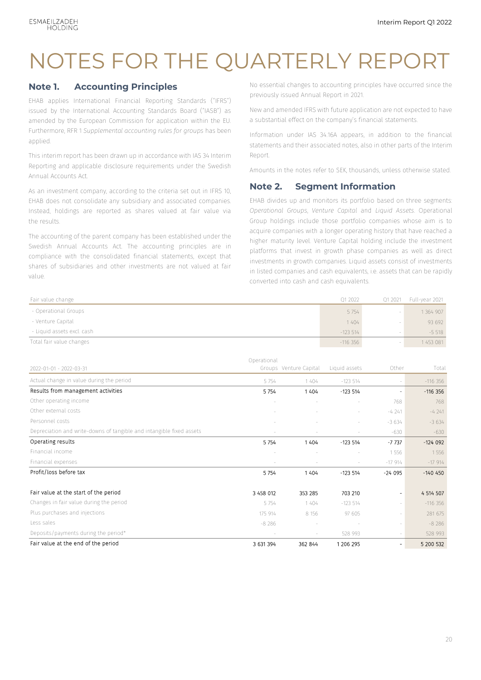### NOTES FOR THE QUARTERLY REPORT

#### **Note 1. Accounting Principles**

EHAB applies International Financial Reporting Standards ("IFRS") issued by the International Accounting Standards Board ("IASB") as amended by the European Commission for application within the EU. Furthermore, RFR 1 *Supplemental accounting rules for groups* has been applied.

This interim report has been drawn up in accordance with IAS 34 Interim Reporting and applicable disclosure requirements under the Swedish Annual Accounts Act.

As an investment company, according to the criteria set out in IFRS 10, EHAB does not consolidate any subsidiary and associated companies. Instead, holdings are reported as shares valued at fair value via the results.

The accounting of the parent company has been established under the Swedish Annual Accounts Act. The accounting principles are in compliance with the consolidated financial statements, except that shares of subsidiaries and other investments are not valued at fair value.

No essential changes to accounting principles have occurred since the previously issued Annual Report in 2021.

New and amended IFRS with future application are not expected to have a substantial effect on the company's financial statements.

Information under IAS 34.16A appears, in addition to the financial statements and their associated notes, also in other parts of the Interim Report.

Amounts in the notes refer to SEK, thousands, unless otherwise stated.

#### **Note 2. Segment Information**

EHAB divides up and monitors its portfolio based on three segments: *Operational Groups*, *Venture Capital* and *Liquid Assets*. Operational Group holdings include those portfolio companies whose aim is to acquire companies with a longer operating history that have reached a higher maturity level. Venture Capital holding include the investment platforms that invest in growth phase companies as well as direct investments in growth companies. Liquid assets consist of investments in listed companies and cash equivalents, i.e. assets that can be rapidly converted into cash and cash equivalents.

| Fair value change          | 01 2022    | Q1 2021 | Full-year 2021 |
|----------------------------|------------|---------|----------------|
| - Operational Groups       | 5 7 5 4    |         | 1 364 907      |
| - Venture Capital          | 1404       |         | 93 692         |
| - Liquid assets excl. cash | $-123.514$ |         | $-5518$        |
| Total fair value changes   | $-116.356$ |         | 453 081        |

|                                                                      | Operational |                        |               |                          |           |
|----------------------------------------------------------------------|-------------|------------------------|---------------|--------------------------|-----------|
| 2022-01-01 - 2022-03-31                                              |             | Groups Venture Capital | Liquid assets | Other                    | Total     |
| Actual change in value during the period                             | 5 7 5 4     | 1404                   | $-123514$     | $\sim$                   | $-116356$ |
| Results from management activities                                   | 5 7 5 4     | 1404                   | $-123514$     | ٠                        | $-116356$ |
| Other operating income                                               |             |                        |               | 768                      | 768       |
| Other external costs                                                 |             |                        |               | $-4241$                  | $-4241$   |
| Personnel costs                                                      |             |                        |               | $-3634$                  | $-3634$   |
| Depreciation and write-downs of tangible and intangible fixed assets |             |                        |               | $-630$                   | $-630$    |
| Operating results                                                    | 5 7 5 4     | 1404                   | $-123514$     | $-7737$                  | $-124092$ |
| Financial income                                                     |             |                        |               | 1556                     | 1556      |
| Financial expenses                                                   |             |                        |               | $-17914$                 | $-17914$  |
| Profit/loss before tax                                               | 5754        | 1404                   | $-123514$     | $-24095$                 | $-140450$ |
| Fair value at the start of the period                                | 3 458 012   | 353 285                | 703 210       | $\overline{\phantom{a}}$ | 4 514 507 |
| Changes in fair value during the period                              | 5 7 5 4     | 1404                   | $-123514$     | $\sim$                   | $-116356$ |
| Plus purchases and injections                                        | 175 914     | 8 1 5 6                | 97 605        | $\sim$                   | 281 675   |
| Less sales                                                           | $-8286$     |                        |               | $\sim$                   | $-8286$   |
| Deposits/payments during the period*                                 |             | $\sim$                 | 528 993       | $\sim$                   | 528 993   |
| Fair value at the end of the period                                  | 3 631 394   | 362 844                | 1 206 295     | $\overline{\phantom{a}}$ | 5 200 532 |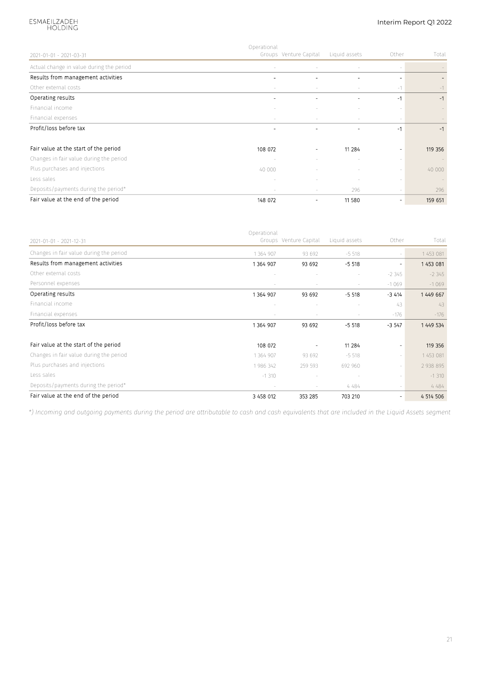### ESMAEILZADEH<br>HOLDING

#### Interim Report Q1 2022

|                                          | Operational |                              |               |                          |         |
|------------------------------------------|-------------|------------------------------|---------------|--------------------------|---------|
| 2021-01-01 - 2021-03-31                  |             | Groups Venture Capital       | Liquid assets | Other                    | Total   |
| Actual change in value during the period | $\sim$      | $\sim$                       | $\sim$        |                          |         |
| Results from management activities       |             |                              |               |                          |         |
| Other external costs                     | $\sim$      | $\sim$                       |               | $-1$                     | $-1$    |
| Operating results                        | ۰           | ۰                            |               | $-1$                     | $-1$    |
| Financial income                         |             |                              |               |                          |         |
| Financial expenses                       | $\sim$      |                              |               |                          |         |
| Profit/loss before tax                   | -           | $\overline{a}$               |               | -1                       | $-1$    |
| Fair value at the start of the period    | 108 072     | $\overline{\phantom{0}}$     | 11 284        | $\overline{\phantom{a}}$ | 119 356 |
| Changes in fair value during the period  |             |                              |               |                          |         |
| Plus purchases and injections            | 40 000      |                              |               | $\sim$                   | 40 000  |
| Less sales                               |             |                              |               |                          |         |
| Deposits/payments during the period*     | $\sim$      | $\sim$                       | 296           |                          | 296     |
| Fair value at the end of the period      | 148 072     | $\qquad \qquad \blacksquare$ | 11 580        | $\qquad \qquad -$        | 159 651 |

|                                         | Operational |                        |               |                          |             |
|-----------------------------------------|-------------|------------------------|---------------|--------------------------|-------------|
| 2021-01-01 - 2021-12-31                 |             | Groups Venture Capital | Liquid assets | Other                    | Total       |
| Changes in fair value during the period | 1 364 907   | 93 692                 | $-5518$       | $\sim$                   | 1 453 081   |
| Results from management activities      | 1364907     | 93 692                 | $-5518$       | $\overline{\phantom{a}}$ | 1 453 081   |
| Other external costs                    |             |                        |               | $-2345$                  | $-2345$     |
| Personnel expenses                      |             |                        |               | $-1069$                  | $-1069$     |
| Operating results                       | 1364 907    | 93 692                 | $-5518$       | $-3414$                  | 1449 667    |
| Financial income                        |             |                        |               | 43                       | 43          |
| Financial expenses                      |             |                        |               | $-176$                   | $-176$      |
| Profit/loss before tax                  | 1364 907    | 93 692                 | $-5518$       | $-3547$                  | 1 449 534   |
| Fair value at the start of the period   | 108 072     |                        | 11 284        | -                        | 119 356     |
| Changes in fair value during the period | 1 364 907   | 93 692                 | $-5518$       | $\sim$                   | 1453 081    |
| Plus purchases and injections           | 1986 342    | 259 593                | 692 960       | $\sim$                   | 2 938 895   |
| Less sales                              | $-1310$     |                        |               | $\sim$                   | $-1310$     |
| Deposits/payments during the period*    |             |                        | 4 484         |                          | 4 484       |
| Fair value at the end of the period     | 3 458 012   | 353 285                | 703 210       | -                        | 4 5 14 5 06 |

*\*) Incoming and outgoing payments during the period are attributable to cash and cash equivalents that are included in the Liquid Assets segment*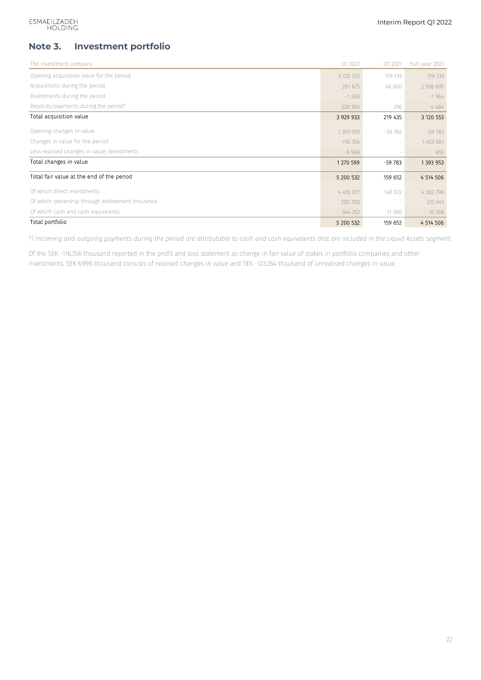#### **Note 3. Investment portfolio**

| The investment company                         | Q1 2022     | Q1 2021                  | Full-year 2021 |
|------------------------------------------------|-------------|--------------------------|----------------|
| Opening acquisition value for the period       | 3 120 553   | 179 139                  | 179 139        |
| Acquisitions during the period                 | 281 675     | 40 000                   | 2 938 895      |
| Divestments during the period                  | $-1288$     |                          | $-1964$        |
| Deposits/payments during the period*           | 528 993     | 296                      | 4 48 4         |
| Total acquisition value                        | 3 9 29 9 33 | 219 435                  | 3 120 553      |
| Opening changes in value                       | 1 393 953   | $-59783$                 | $-59783$       |
| Changes in value for the period                | $-116356$   | $\overline{\phantom{m}}$ | 1 453 081      |
| Less realised changes in value, divestments    | $-6998$     |                          | 655            |
| Total changes in value                         | 1 270 599   | $-59783$                 | 1 393 953      |
| Total fair value at the end of the period      | 5 200 532   | 159 652                  | 4 5 14 5 06    |
| Of which direct investments                    | 4 455 071   | 148 072                  | 4 282 796      |
| Of which ownership through endowment insurance | 200 700     |                          | 215 941        |
| Of which cash and cash equivalents             | 544 762     | 11 580                   | 15 768         |
| Total portfolio                                | 5 200 532   | 159 652                  | 4 5 14 5 0 6   |

*\*) Incoming and outgoing payments during the period are attributable to cash and cash equivalents that are included in the Liquid Assets segment*

Of the SEK -116,356 thousand reported in the profit and loss statement as change in fair value of stakes in portfolio companies and other investments, SEK 6,998 thousand consists of realised changes in value and SEK -123,354 thousand of unrealised changes in value.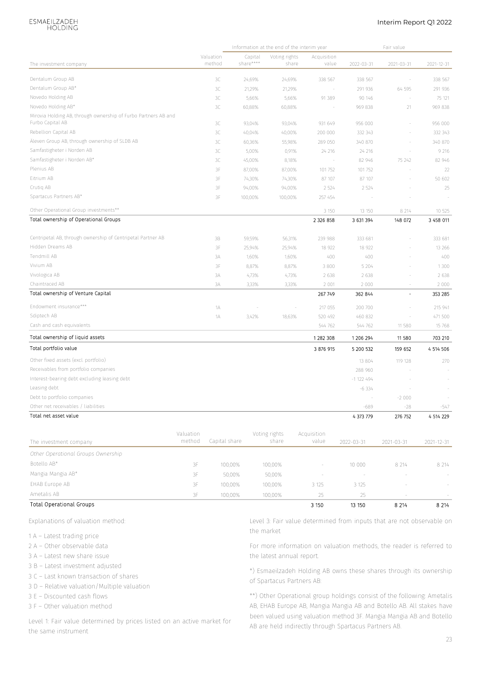### ESMAEILZADEH<br>HOLDING

#### Interim Report Q1 2022

|                                                                                    |           |                     |                      | Information at the end of the interim year |                      |                                                                                                                              | Fair value               |             |
|------------------------------------------------------------------------------------|-----------|---------------------|----------------------|--------------------------------------------|----------------------|------------------------------------------------------------------------------------------------------------------------------|--------------------------|-------------|
| The investment company                                                             |           | Valuation<br>method | Capital<br>share**** | Voting rights<br>share                     | Acquisition<br>value | 2022-03-31                                                                                                                   | 2021-03-31               | 2021-12-31  |
|                                                                                    |           |                     |                      |                                            |                      |                                                                                                                              |                          |             |
| Dentalum Group AB                                                                  |           | 3C                  | 24,69%               | 24,69%                                     | 338 567              | 338 567                                                                                                                      | $\overline{\phantom{a}}$ | 338 567     |
| Dentalum Group AB*                                                                 |           | 3C                  | 21,29%               | 21,29%                                     |                      | 291 936                                                                                                                      | 64 595                   | 291 936     |
| Novedo Holding AB                                                                  |           | 3C                  | 5,66%                | 5,66%                                      | 91 389               | 90 146                                                                                                                       | $\overline{\phantom{a}}$ | 75 121      |
| Novedo Holding AB*                                                                 |           | 3C                  | 60,88%               | 60,88%                                     |                      | 969 838                                                                                                                      | 21                       | 969 838     |
| Mirovia Holding AB, through ownership of Furbo Partners AB and<br>Furbo Capital AB |           | 3C                  | 93,04%               | 93,04%                                     | 931 649              | 956 000                                                                                                                      |                          | 956 000     |
| Rebellion Capital AB                                                               |           | 3C                  | 40,04%               | 40,00%                                     | 200 000              | 332 343                                                                                                                      | $\sim$                   | 332 343     |
| Äleven Group AB, through ownership of SLDB AB                                      |           | 3C                  | 60,36%               | 55,98%                                     | 289 050              | 340 870                                                                                                                      |                          | 340 870     |
| Samfastigheter i Norden AB                                                         |           | 3C                  | 5,00%                | 0,91%                                      | 24 216               | 24 216                                                                                                                       | $\overline{\phantom{a}}$ | 9 2 1 6     |
| Samfastigheter i Norden AB*                                                        |           | 3C                  | 45,00%               | 8,18%                                      |                      | 82 946                                                                                                                       | 75 24 2                  | 82 946      |
| Plenius AB                                                                         |           | 3F                  | 87,00%               | 87,00%                                     | 101752               | 101 752                                                                                                                      |                          | 22          |
| Eitrium AB                                                                         |           | 3F                  | 74,30%               | 74,30%                                     | 87 107               | 87 107                                                                                                                       |                          | 50 602      |
| Crutiq AB                                                                          |           | 3F                  | 94,00%               | 94,00%                                     | 2 5 2 4              | 2 5 2 4                                                                                                                      |                          | 25          |
| Spartacus Partners AB*                                                             |           | 3F                  | 100,00%              | 100,00%                                    | 257 454              |                                                                                                                              |                          |             |
| Other Operational Group investments**                                              |           |                     |                      |                                            | 3 150                | 13 15 0                                                                                                                      | 8 2 1 4                  | 10 525      |
| Total ownership of Operational Groups                                              |           |                     |                      |                                            | 2 3 2 6 8 5 8        | 3 631 394                                                                                                                    | 148 072                  | 3 458 011   |
| Centripetal AB, through ownership of Centripetal Partner AB                        |           | 3B                  | 59,59%               | 56,31%                                     | 239 988              | 333 681                                                                                                                      |                          | 333 681     |
| Hidden Dreams AB                                                                   |           | 3F                  | 25,94%               | 25,94%                                     | 18 922               | 18 922                                                                                                                       |                          | 13 26 6     |
| Tendmill AB                                                                        |           | 3A                  | 1,60%                | 1,60%                                      | 400                  | 400                                                                                                                          |                          | 400         |
| Vivium AB                                                                          |           | 3F                  | 8,87%                | 8,87%                                      | 3 800                | 5 2 0 4                                                                                                                      |                          | 1300        |
| Vivologica AB                                                                      |           | 3A                  | 4,73%                | 4,73%                                      | 2 6 3 8              | 2 6 3 8                                                                                                                      |                          | 2 6 3 8     |
| Chaintraced AB                                                                     |           | ЗΑ                  | 3,33%                | 3,33%                                      | 2 0 0 1              | 2 0 0 0                                                                                                                      |                          | 2 0 0 0     |
| Total ownership of Venture Capital                                                 |           |                     |                      |                                            | 267 749              | 362 844                                                                                                                      | $\frac{1}{2}$            | 353 285     |
| Endowment insurance***                                                             |           | 1А                  |                      |                                            | 217 055              | 200 700                                                                                                                      |                          | 215 941     |
| Sdiptech AB                                                                        |           | 1А                  | 3,42%                | 18,63%                                     | 520 492              | 460 832                                                                                                                      |                          | 471 500     |
| Cash and cash equivalents                                                          |           |                     |                      |                                            | 544 762              | 544 762                                                                                                                      | 11 580                   | 15 768      |
| Total ownership of liquid assets                                                   |           |                     |                      |                                            | 1282308              | 1 206 294                                                                                                                    | 11 580                   | 703 210     |
| Total portfolio value                                                              |           |                     |                      |                                            | 3 876 915            | 5 200 532                                                                                                                    | 159 652                  | 4 5 14 5 06 |
| Other fixed assets (excl. portfolio)                                               |           |                     |                      |                                            |                      | 13 804                                                                                                                       | 119 128                  | 270         |
| Receivables from portfolio companies                                               |           |                     |                      |                                            |                      | 288 960                                                                                                                      |                          |             |
| Interest-bearing debt excluding leasing debt                                       |           |                     |                      |                                            |                      | $-1$ 122 494                                                                                                                 |                          |             |
| Leasing debt                                                                       |           |                     |                      |                                            |                      | $-6.334$                                                                                                                     |                          |             |
| Debt to portfolio companies                                                        |           |                     |                      |                                            |                      |                                                                                                                              | $-2000$                  |             |
| Other net receivables / liabilities                                                |           |                     |                      |                                            |                      | $-689$                                                                                                                       | $-28$                    | -547        |
| Total net asset value                                                              |           |                     |                      |                                            |                      | 4 373 779                                                                                                                    | 276 752                  | 4 514 229   |
|                                                                                    | Valuation |                     |                      | Voting rights                              | Acquisition          |                                                                                                                              |                          |             |
| The investment company                                                             | method    | Capital share       |                      | share                                      | value                | 2022-03-31                                                                                                                   | 2021-03-31               | 2021-12-31  |
| Other Operational Groups Ownership                                                 |           |                     |                      |                                            |                      |                                                                                                                              |                          |             |
| Botello AB*                                                                        | 3F        | 100,00%             |                      | 100,00%                                    |                      | 10 000                                                                                                                       | 8 2 1 4                  | 8 2 1 4     |
| Mangia Mangia AB*                                                                  | 3F        | 50,00%              |                      | 50,00%                                     |                      |                                                                                                                              |                          |             |
| EHAB Europe AB                                                                     | 3F        | 100,00%             |                      | 100,00%                                    | 3 1 2 5              | 3 1 2 5                                                                                                                      |                          |             |
| Ametalis AB                                                                        | 3F        | 100,00%             |                      | 100,00%                                    | 25                   | 25                                                                                                                           |                          |             |
| <b>Total Operational Groups</b>                                                    |           |                     |                      |                                            | 3 1 5 0              | 13 150                                                                                                                       | 8 2 1 4                  | 8 2 1 4     |
| Explanations of valuation method:                                                  |           |                     |                      |                                            |                      | Level 3: Fair value determined from inputs that are not observable on                                                        |                          |             |
|                                                                                    |           |                     |                      | the market                                 |                      |                                                                                                                              |                          |             |
| 1 A – Latest trading price                                                         |           |                     |                      |                                            |                      |                                                                                                                              |                          |             |
| 2 A - Other observable data                                                        |           |                     |                      |                                            |                      | For more information on valuation methods, the reader is referred to                                                         |                          |             |
| 3 A - Latest new share issue                                                       |           |                     |                      | the latest annual report.                  |                      |                                                                                                                              |                          |             |
| 3 B – Latest investment adjusted                                                   |           |                     |                      |                                            |                      | *) Esmaeilzadeh Holding AB owns these shares through its ownership                                                           |                          |             |
| 3 C - Last known transaction of shares                                             |           |                     |                      | of Spartacus Partners AB:                  |                      |                                                                                                                              |                          |             |
| 3 D - Relative valuation/Multiple valuation                                        |           |                     |                      |                                            |                      |                                                                                                                              |                          |             |
| 3 E - Discounted cash flows                                                        |           |                     |                      |                                            |                      | **) Other Operational group holdings consist of the following: Ametalis                                                      |                          |             |
| 3 F - Other valuation method                                                       |           |                     |                      |                                            |                      | AB, EHAB Europe AB, Mangia Mangia AB and Botello AB. All stakes have                                                         |                          |             |
| Level 1: Fair value determined by prices listed on an active market for            |           |                     |                      |                                            |                      | been valued using valuation method 3F. Mangia Mangia AB and Botello<br>AB are held indirectly through Spartacus Partners AB. |                          |             |

| Total Operational Groups |    |         |         | 3 1 5 0 | 13 150  | 8 2 1 4                  | 8 2 1 4 |
|--------------------------|----|---------|---------|---------|---------|--------------------------|---------|
| Ametalis AB              | 3F | 100.00% | 100.00% |         |         | $\overline{\phantom{a}}$ | $\sim$  |
| EHAB Europe AB           | 3F | 100.00% | 100.00% | 3 1 2 5 | 3 1 2 5 | $\sim$                   |         |
| Mangia Mangia AB*        | 3F | 50.00%  | 50.00%  | $\sim$  |         | -                        |         |
|                          |    |         |         |         |         |                          |         |

- 1 A Latest trading price
- 2 A Other observable data
- 3 A Latest new share issue
- 3 B Latest investment adjusted
- 3 C Last known transaction of shares
- 3 D Relative valuation/Multiple valuation
- 3 E Discounted cash flows
- 3 F Other valuation method

Level 1: Fair value determined by prices listed on an active market for the same instrument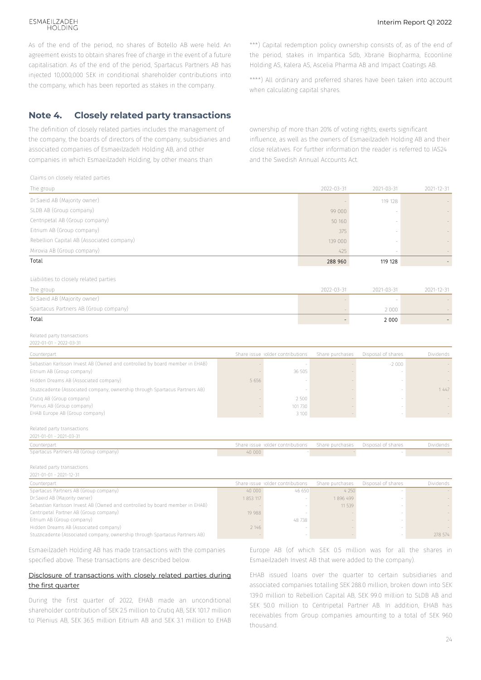#### ESMAEILZADEH HOI DING

As of the end of the period, no shares of Botello AB were held. An agreement exists to obtain shares free of charge in the event of a future capitalisation. As of the end of the period, Spartacus Partners AB has injected 10,000,000 SEK in conditional shareholder contributions into the company, which has been reported as stakes in the company.

#### **Note 4. Closely related party transactions**

The definition of closely related parties includes the management of the company, the boards of directors of the company, subsidiaries and associated companies of Esmaeilzadeh Holding AB, and other companies in which Esmaeilzadeh Holding, by other means than

\*\*\*) Capital redemption policy ownership consists of, as of the end of the period, stakes in Impantica Sdb, Xbrane Biopharma, Ecoonline Holding AS, Kalera AS, Ascelia Pharma AB and Impact Coatings AB.

\*\*\*\*) All ordinary and preferred shares have been taken into account when calculating capital shares.

ownership of more than 20% of voting rights, exerts significant influence, as well as the owners of Esmaeilzadeh Holding AB and their close relatives. For further information the reader is referred to IAS24 and the Swedish Annual Accounts Act.

| Claims on closely related parties                                                                                    |                                                                        |                     |                    |            |
|----------------------------------------------------------------------------------------------------------------------|------------------------------------------------------------------------|---------------------|--------------------|------------|
| The group                                                                                                            |                                                                        | 2022-03-31          | 2021-03-31         | 2021-12-31 |
| Dr.Saeid AB (Majority owner)                                                                                         |                                                                        |                     | 119 128            |            |
| SLDB AB (Group company)                                                                                              |                                                                        | 99 000              |                    |            |
| Centripetal AB (Group company)                                                                                       |                                                                        | 50 160              |                    |            |
| Eitrium AB (Group company)                                                                                           |                                                                        | 375                 |                    |            |
| Rebellion Capital AB (Associated company)                                                                            |                                                                        | 139 000             |                    |            |
| Mirovia AB (Group company)                                                                                           |                                                                        | 425                 |                    |            |
| Total                                                                                                                |                                                                        | 288 960             | 119 128            |            |
|                                                                                                                      |                                                                        |                     |                    |            |
| Liabilities to closely related parties                                                                               |                                                                        |                     |                    |            |
| The group                                                                                                            |                                                                        | 2022-03-31          | 2021-03-31         | 2021-12-31 |
| Dr.Saeid AB (Majority owner)                                                                                         |                                                                        |                     |                    |            |
| Spartacus Partners AB (Group company)                                                                                |                                                                        |                     | 2 0 0 0            |            |
| Total                                                                                                                |                                                                        |                     | 2 0 0 0            |            |
|                                                                                                                      |                                                                        |                     |                    |            |
| Related party transactions                                                                                           |                                                                        |                     |                    |            |
| 2022-01-01 - 2022-03-31                                                                                              |                                                                        |                     |                    |            |
| Counterpart                                                                                                          | Share issue holder contributions                                       | Share purchases     | Disposal of shares | Dividends  |
| Sebastian Karlsson Invest AB (Owned and controlled by board member in EHAB)<br>Eitrium AB (Group company)            | 36 505                                                                 |                     | $-2000$            |            |
| Hidden Dreams AB (Associated company)                                                                                | 5 6 5 6                                                                |                     |                    |            |
| Stuzzicadente (Associated company, ownership through Spartacus Partners AB)                                          |                                                                        |                     |                    | 1 4 4 7    |
| Crutig AB (Group company)                                                                                            | 2 500                                                                  |                     |                    |            |
| Plenius AB (Group company)                                                                                           | 101730                                                                 |                     |                    |            |
| EHAB Europe AB (Group company)                                                                                       | 3 100                                                                  |                     |                    |            |
| Related party transactions                                                                                           |                                                                        |                     |                    |            |
| 2021-01-01 - 2021-03-31                                                                                              |                                                                        |                     |                    |            |
| Counterpart                                                                                                          | Share issue rolder contributions                                       | Share purchases     | Disposal of shares | Dividends  |
| Spartacus Partners AB (Group company)                                                                                | 40 000                                                                 |                     |                    |            |
| Related party transactions                                                                                           |                                                                        |                     |                    |            |
| 2021-01-01 - 2021-12-31                                                                                              |                                                                        |                     |                    |            |
| Counterpart                                                                                                          | Share issue iolder contributions                                       | Share purchases     | Disposal of shares | Dividends  |
| Spartacus Partners AB (Group company)<br>Dr.Saeid AB (Majority owner)                                                | 40 000<br>46 650                                                       | 4 2 5 0<br>1896 499 |                    |            |
| Sebastian Karlsson Invest AB (Owned and controlled by board member in EHAB)                                          | 1 853 117                                                              | 11 539              |                    |            |
| Centripetal Partner AB (Group company)                                                                               | 19 988                                                                 |                     |                    |            |
| Eitrium AB (Group company)                                                                                           | 48 738                                                                 |                     |                    |            |
| Hidden Dreams AB (Associated company)<br>Stuzzicadente (Associated company, ownership through Spartacus Partners AB) | 2 146                                                                  |                     |                    | 278 574    |
|                                                                                                                      |                                                                        |                     |                    |            |
| Esmaeilzadeh Holding AB has made transactions with the companies                                                     | Europe AB (of which SEK 0.5 million was for all the shares in          |                     |                    |            |
| specified above. These transactions are described below.                                                             | Esmaeilzadeh Invest AB that were added to the company).                |                     |                    |            |
|                                                                                                                      |                                                                        |                     |                    |            |
| Disclosure of transactions with closely related parties during                                                       | EHAB issued loans over the quarter to certain subsidiaries and         |                     |                    |            |
| the first quarter                                                                                                    | associated companies totalling SEK 288.0 million, broken down into SEK |                     |                    |            |
| During the first quarter of 2022, EHAB made an unconditional                                                         | 139.0 million to Rebellion Capital AB, SEK 99.0 million to SLDB AB and |                     |                    |            |
| shareholder contribution of SEK 2.5 million to Crutiq AB, SEK 101.7 million                                          | SEK 50.0 million to Centripetal Partner AB. In addition, EHAB has      |                     |                    |            |
| to Plenius AB, SEK 36.5 million Eitrium AB and SEK 3.1 million to EHAB                                               | receivables from Group companies amounting to a total of SEK 960       |                     |                    |            |
|                                                                                                                      | thousand.                                                              |                     |                    |            |

#### Disclosure of transactions with closely related parties during the first quarter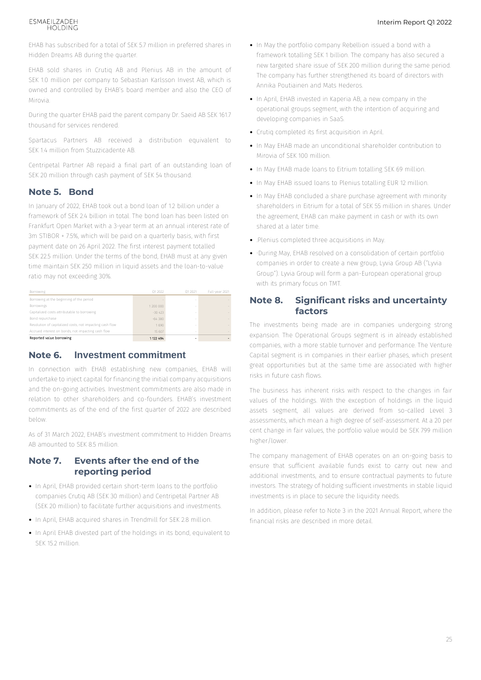#### ESMAEILZADEH HOLDING

EHAB has subscribed for a total of SEK 5.7 million in preferred shares in Hidden Dreams AB during the quarter.

EHAB sold shares in Crutiq AB and Plenius AB in the amount of SEK 1.0 million per company to Sebastian Karlsson Invest AB, which is owned and controlled by EHAB's board member and also the CEO of Mirovia.

During the quarter EHAB paid the parent company Dr. Saeid AB SEK 161.7 thousand for services rendered.

Spartacus Partners AB received a distribution equivalent to SEK 14 million from Stuzzicadente AB.

Centripetal Partner AB repaid a final part of an outstanding loan of SEK 20 million through cash payment of SEK 54 thousand.

#### **Note 5. Bond**

In January of 2022, EHAB took out a bond loan of 1.2 billion under a framework of SEK 2.4 billion in total. The bond loan has been listed on Frankfurt Open Market with a 3-year term at an annual interest rate of 3m STIBOR + 7.5%, which will be paid on a quarterly basis, with first payment date on 26 April 2022. The first interest payment totalled SEK 22.5 million. Under the terms of the bond, EHAB must at any given time maintain SEK 250 million in liquid assets and the loan-to-value ratio may not exceeding 30%.

| Borrowing                                                | 01 2022   | 01 2021 | Full-year 2021 |
|----------------------------------------------------------|-----------|---------|----------------|
| Borrowing at the beginning of the period                 |           |         |                |
| Borrowings                                               | 1 200 000 | $\sim$  |                |
| Capitalized costs attributable to borrowing              | $-30423$  | -       |                |
| Bond repurchase                                          | $-64380$  |         |                |
| Resolution of capitalized costs, not impacting cash flow | 1.690     | -       |                |
| Accrued interest on bonds, not impacting cash flow       | 15 607    | $\sim$  |                |
| Reported value borrowing                                 | 1 122 494 |         |                |

#### **Note 6. Investment commitment**

In connection with EHAB establishing new companies, EHAB will undertake to inject capital for financing the initial company acquisitions and the on-going activities. Investment commitments are also made in relation to other shareholders and co-founders. EHAB's investment commitments as of the end of the first quarter of 2022 are described below.

As of 31 March 2022, EHAB's investment commitment to Hidden Dreams AB amounted to SEK 8.5 million.

#### **Note 7. Events after the end of the reporting period**

- In April, EHAB provided certain short-term loans to the portfolio companies Crutiq AB (SEK 30 million) and Centripetal Partner AB (SEK 20 million) to facilitate further acquisitions and investments.
- In April, EHAB acquired shares in Trendmill for SEK 2.8 million.
- In April EHAB divested part of the holdings in its bond, equivalent to SEK 15.2 million.
- In May the portfolio company Rebellion issued a bond with a framework totalling SEK 1 billion. The company has also secured a new targeted share issue of SEK 200 million during the same period. The company has further strengthened its board of directors with Annika Poutiainen and Mats Hederos.
- In April, EHAB invested in Kaperia AB, a new company in the operational groups segment, with the intention of acquiring and developing companies in SaaS.
- Crutiq completed its first acquisition in April.
- In May EHAB made an unconditional shareholder contribution to Mirovia of SEK 100 million.
- In May EHAB made loans to Eitrium totalling SEK 69 million.
- In May EHAB issued loans to Plenius totalling EUR 12 million.
- In May EHAB concluded a share purchase agreement with minority shareholders in Eitrium for a total of SEK 55 million in shares. Under the agreement, EHAB can make payment in cash or with its own shared at a later time.
- .Plenius completed three acquisitions in May.
- During May, EHAB resolved on a consolidation of certain portfolio companies in order to create a new group, Lyvia Group AB ("Lyvia Group"). Lyvia Group will form a pan-European operational group with its primary focus on TMT.

#### **Note 8. Significant risks and uncertainty factors**

The investments being made are in companies undergoing strong expansion. The Operational Groups segment is in already established companies, with a more stable turnover and performance. The Venture Capital segment is in companies in their earlier phases, which present great opportunities but at the same time are associated with higher risks in future cash flows.

The business has inherent risks with respect to the changes in fair values of the holdings. With the exception of holdings in the liquid assets segment, all values are derived from so-called Level 3 assessments, which mean a high degree of self-assessment. At a 20 per cent change in fair values, the portfolio value would be SEK 799 million higher/lower.

The company management of EHAB operates on an on-going basis to ensure that sufficient available funds exist to carry out new and additional investments, and to ensure contractual payments to future investors. The strategy of holding sufficient investments in stable liquid investments is in place to secure the liquidity needs.

In addition, please refer to Note 3 in the 2021 Annual Report, where the financial risks are described in more detail.